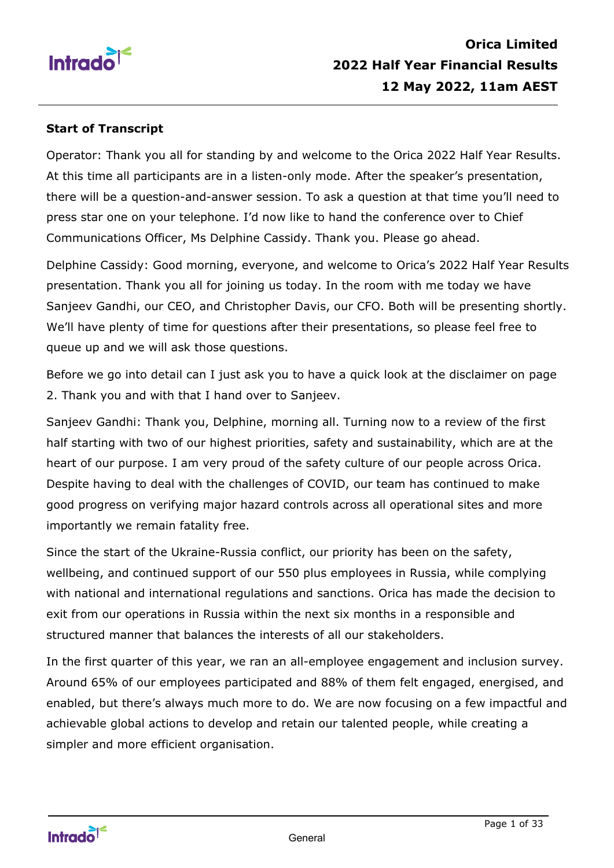

#### **Start of Transcript**

Operator: Thank you all for standing by and welcome to the Orica 2022 Half Year Results. At this time all participants are in a listen-only mode. After the speaker's presentation, there will be a question-and-answer session. To ask a question at that time you'll need to press star one on your telephone. I'd now like to hand the conference over to Chief Communications Officer, Ms Delphine Cassidy. Thank you. Please go ahead.

Delphine Cassidy: Good morning, everyone, and welcome to Orica's 2022 Half Year Results presentation. Thank you all for joining us today. In the room with me today we have Sanjeev Gandhi, our CEO, and Christopher Davis, our CFO. Both will be presenting shortly. We'll have plenty of time for questions after their presentations, so please feel free to queue up and we will ask those questions.

Before we go into detail can I just ask you to have a quick look at the disclaimer on page 2. Thank you and with that I hand over to Sanjeev.

Sanjeev Gandhi: Thank you, Delphine, morning all. Turning now to a review of the first half starting with two of our highest priorities, safety and sustainability, which are at the heart of our purpose. I am very proud of the safety culture of our people across Orica. Despite having to deal with the challenges of COVID, our team has continued to make good progress on verifying major hazard controls across all operational sites and more importantly we remain fatality free.

Since the start of the Ukraine-Russia conflict, our priority has been on the safety, wellbeing, and continued support of our 550 plus employees in Russia, while complying with national and international regulations and sanctions. Orica has made the decision to exit from our operations in Russia within the next six months in a responsible and structured manner that balances the interests of all our stakeholders.

In the first quarter of this year, we ran an all-employee engagement and inclusion survey. Around 65% of our employees participated and 88% of them felt engaged, energised, and enabled, but there's always much more to do. We are now focusing on a few impactful and achievable global actions to develop and retain our talented people, while creating a simpler and more efficient organisation.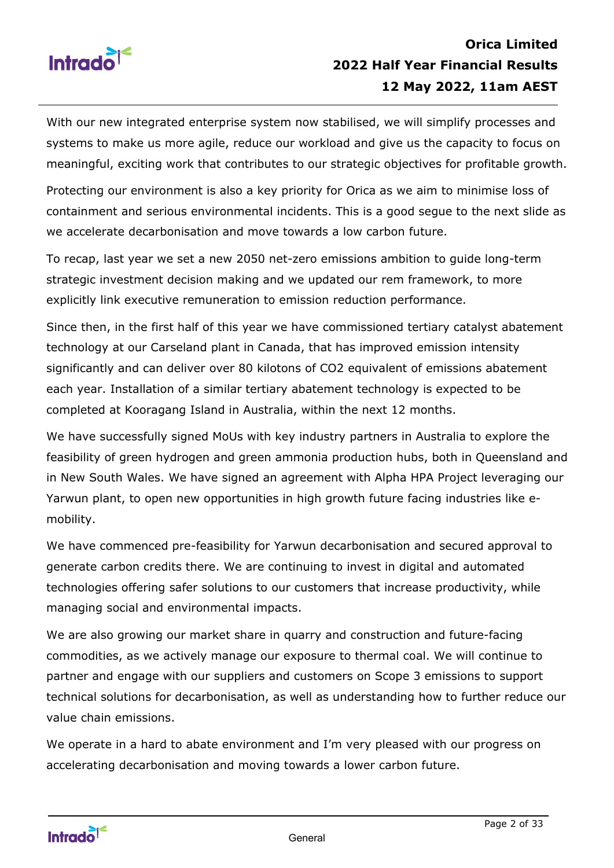

With our new integrated enterprise system now stabilised, we will simplify processes and systems to make us more agile, reduce our workload and give us the capacity to focus on meaningful, exciting work that contributes to our strategic objectives for profitable growth.

Protecting our environment is also a key priority for Orica as we aim to minimise loss of containment and serious environmental incidents. This is a good segue to the next slide as we accelerate decarbonisation and move towards a low carbon future.

To recap, last year we set a new 2050 net-zero emissions ambition to guide long-term strategic investment decision making and we updated our rem framework, to more explicitly link executive remuneration to emission reduction performance.

Since then, in the first half of this year we have commissioned tertiary catalyst abatement technology at our Carseland plant in Canada, that has improved emission intensity significantly and can deliver over 80 kilotons of CO2 equivalent of emissions abatement each year. Installation of a similar tertiary abatement technology is expected to be completed at Kooragang Island in Australia, within the next 12 months.

We have successfully signed MoUs with key industry partners in Australia to explore the feasibility of green hydrogen and green ammonia production hubs, both in Queensland and in New South Wales. We have signed an agreement with Alpha HPA Project leveraging our Yarwun plant, to open new opportunities in high growth future facing industries like emobility.

We have commenced pre-feasibility for Yarwun decarbonisation and secured approval to generate carbon credits there. We are continuing to invest in digital and automated technologies offering safer solutions to our customers that increase productivity, while managing social and environmental impacts.

We are also growing our market share in quarry and construction and future-facing commodities, as we actively manage our exposure to thermal coal. We will continue to partner and engage with our suppliers and customers on Scope 3 emissions to support technical solutions for decarbonisation, as well as understanding how to further reduce our value chain emissions.

We operate in a hard to abate environment and I'm very pleased with our progress on accelerating decarbonisation and moving towards a lower carbon future.

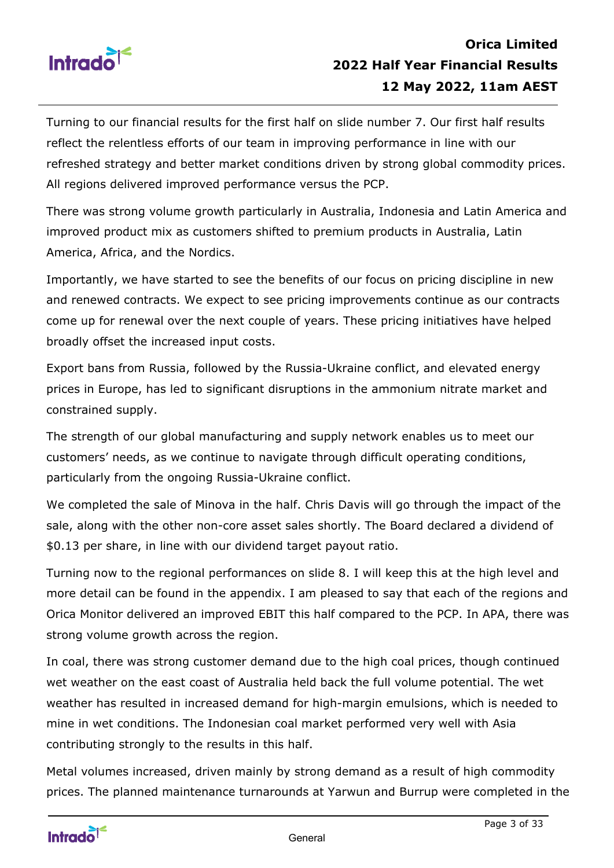

Turning to our financial results for the first half on slide number 7. Our first half results reflect the relentless efforts of our team in improving performance in line with our refreshed strategy and better market conditions driven by strong global commodity prices. All regions delivered improved performance versus the PCP.

There was strong volume growth particularly in Australia, Indonesia and Latin America and improved product mix as customers shifted to premium products in Australia, Latin America, Africa, and the Nordics.

Importantly, we have started to see the benefits of our focus on pricing discipline in new and renewed contracts. We expect to see pricing improvements continue as our contracts come up for renewal over the next couple of years. These pricing initiatives have helped broadly offset the increased input costs.

Export bans from Russia, followed by the Russia-Ukraine conflict, and elevated energy prices in Europe, has led to significant disruptions in the ammonium nitrate market and constrained supply.

The strength of our global manufacturing and supply network enables us to meet our customers' needs, as we continue to navigate through difficult operating conditions, particularly from the ongoing Russia-Ukraine conflict.

We completed the sale of Minova in the half. Chris Davis will go through the impact of the sale, along with the other non-core asset sales shortly. The Board declared a dividend of \$0.13 per share, in line with our dividend target payout ratio.

Turning now to the regional performances on slide 8. I will keep this at the high level and more detail can be found in the appendix. I am pleased to say that each of the regions and Orica Monitor delivered an improved EBIT this half compared to the PCP. In APA, there was strong volume growth across the region.

In coal, there was strong customer demand due to the high coal prices, though continued wet weather on the east coast of Australia held back the full volume potential. The wet weather has resulted in increased demand for high-margin emulsions, which is needed to mine in wet conditions. The Indonesian coal market performed very well with Asia contributing strongly to the results in this half.

Metal volumes increased, driven mainly by strong demand as a result of high commodity prices. The planned maintenance turnarounds at Yarwun and Burrup were completed in the

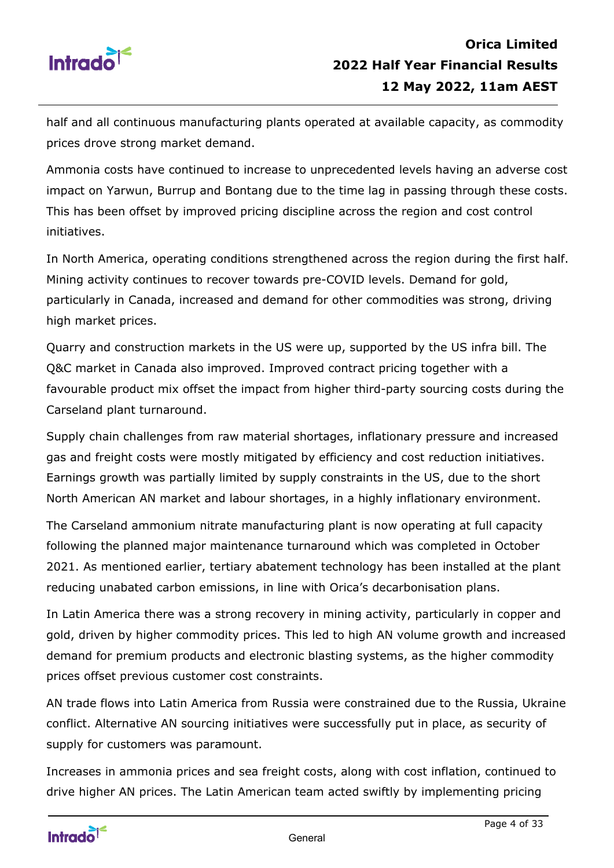

half and all continuous manufacturing plants operated at available capacity, as commodity prices drove strong market demand.

Ammonia costs have continued to increase to unprecedented levels having an adverse cost impact on Yarwun, Burrup and Bontang due to the time lag in passing through these costs. This has been offset by improved pricing discipline across the region and cost control initiatives.

In North America, operating conditions strengthened across the region during the first half. Mining activity continues to recover towards pre-COVID levels. Demand for gold, particularly in Canada, increased and demand for other commodities was strong, driving high market prices.

Quarry and construction markets in the US were up, supported by the US infra bill. The Q&C market in Canada also improved. Improved contract pricing together with a favourable product mix offset the impact from higher third-party sourcing costs during the Carseland plant turnaround.

Supply chain challenges from raw material shortages, inflationary pressure and increased gas and freight costs were mostly mitigated by efficiency and cost reduction initiatives. Earnings growth was partially limited by supply constraints in the US, due to the short North American AN market and labour shortages, in a highly inflationary environment.

The Carseland ammonium nitrate manufacturing plant is now operating at full capacity following the planned major maintenance turnaround which was completed in October 2021. As mentioned earlier, tertiary abatement technology has been installed at the plant reducing unabated carbon emissions, in line with Orica's decarbonisation plans.

In Latin America there was a strong recovery in mining activity, particularly in copper and gold, driven by higher commodity prices. This led to high AN volume growth and increased demand for premium products and electronic blasting systems, as the higher commodity prices offset previous customer cost constraints.

AN trade flows into Latin America from Russia were constrained due to the Russia, Ukraine conflict. Alternative AN sourcing initiatives were successfully put in place, as security of supply for customers was paramount.

Increases in ammonia prices and sea freight costs, along with cost inflation, continued to drive higher AN prices. The Latin American team acted swiftly by implementing pricing

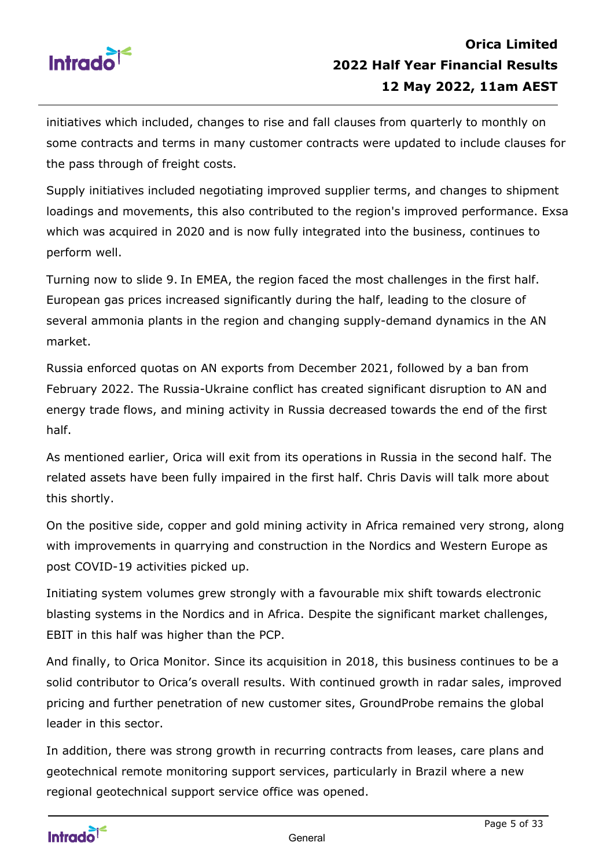

initiatives which included, changes to rise and fall clauses from quarterly to monthly on some contracts and terms in many customer contracts were updated to include clauses for the pass through of freight costs.

Supply initiatives included negotiating improved supplier terms, and changes to shipment loadings and movements, this also contributed to the region's improved performance. Exsa which was acquired in 2020 and is now fully integrated into the business, continues to perform well.

Turning now to slide 9. In EMEA, the region faced the most challenges in the first half. European gas prices increased significantly during the half, leading to the closure of several ammonia plants in the region and changing supply-demand dynamics in the AN market.

Russia enforced quotas on AN exports from December 2021, followed by a ban from February 2022. The Russia-Ukraine conflict has created significant disruption to AN and energy trade flows, and mining activity in Russia decreased towards the end of the first half.

As mentioned earlier, Orica will exit from its operations in Russia in the second half. The related assets have been fully impaired in the first half. Chris Davis will talk more about this shortly.

On the positive side, copper and gold mining activity in Africa remained very strong, along with improvements in quarrying and construction in the Nordics and Western Europe as post COVID-19 activities picked up.

Initiating system volumes grew strongly with a favourable mix shift towards electronic blasting systems in the Nordics and in Africa. Despite the significant market challenges, EBIT in this half was higher than the PCP.

And finally, to Orica Monitor. Since its acquisition in 2018, this business continues to be a solid contributor to Orica's overall results. With continued growth in radar sales, improved pricing and further penetration of new customer sites, GroundProbe remains the global leader in this sector.

In addition, there was strong growth in recurring contracts from leases, care plans and geotechnical remote monitoring support services, particularly in Brazil where a new regional geotechnical support service office was opened.

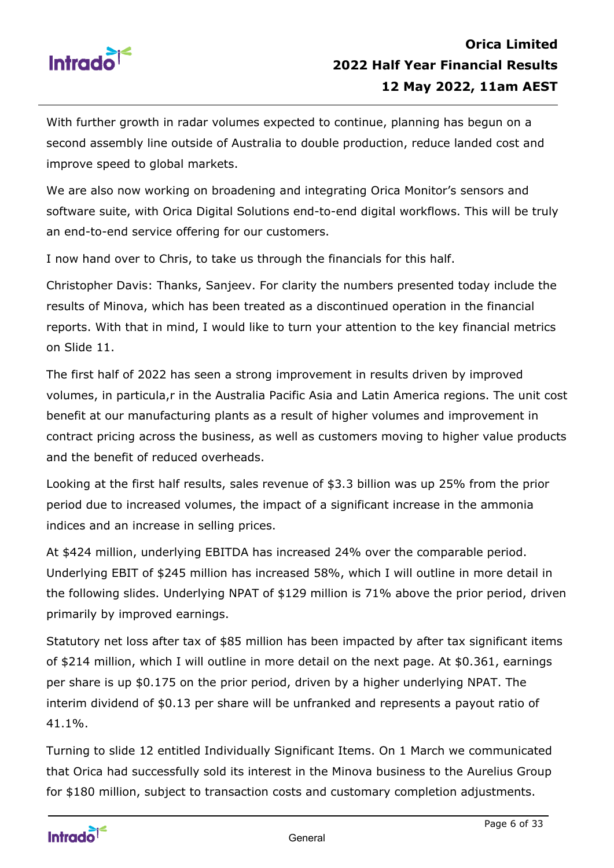

With further growth in radar volumes expected to continue, planning has begun on a second assembly line outside of Australia to double production, reduce landed cost and improve speed to global markets.

We are also now working on broadening and integrating Orica Monitor's sensors and software suite, with Orica Digital Solutions end-to-end digital workflows. This will be truly an end-to-end service offering for our customers.

I now hand over to Chris, to take us through the financials for this half.

Christopher Davis: Thanks, Sanjeev. For clarity the numbers presented today include the results of Minova, which has been treated as a discontinued operation in the financial reports. With that in mind, I would like to turn your attention to the key financial metrics on Slide 11.

The first half of 2022 has seen a strong improvement in results driven by improved volumes, in particula,r in the Australia Pacific Asia and Latin America regions. The unit cost benefit at our manufacturing plants as a result of higher volumes and improvement in contract pricing across the business, as well as customers moving to higher value products and the benefit of reduced overheads.

Looking at the first half results, sales revenue of \$3.3 billion was up 25% from the prior period due to increased volumes, the impact of a significant increase in the ammonia indices and an increase in selling prices.

At \$424 million, underlying EBITDA has increased 24% over the comparable period. Underlying EBIT of \$245 million has increased 58%, which I will outline in more detail in the following slides. Underlying NPAT of \$129 million is 71% above the prior period, driven primarily by improved earnings.

Statutory net loss after tax of \$85 million has been impacted by after tax significant items of \$214 million, which I will outline in more detail on the next page. At \$0.361, earnings per share is up \$0.175 on the prior period, driven by a higher underlying NPAT. The interim dividend of \$0.13 per share will be unfranked and represents a payout ratio of 41.1%.

Turning to slide 12 entitled Individually Significant Items. On 1 March we communicated that Orica had successfully sold its interest in the Minova business to the Aurelius Group for \$180 million, subject to transaction costs and customary completion adjustments.

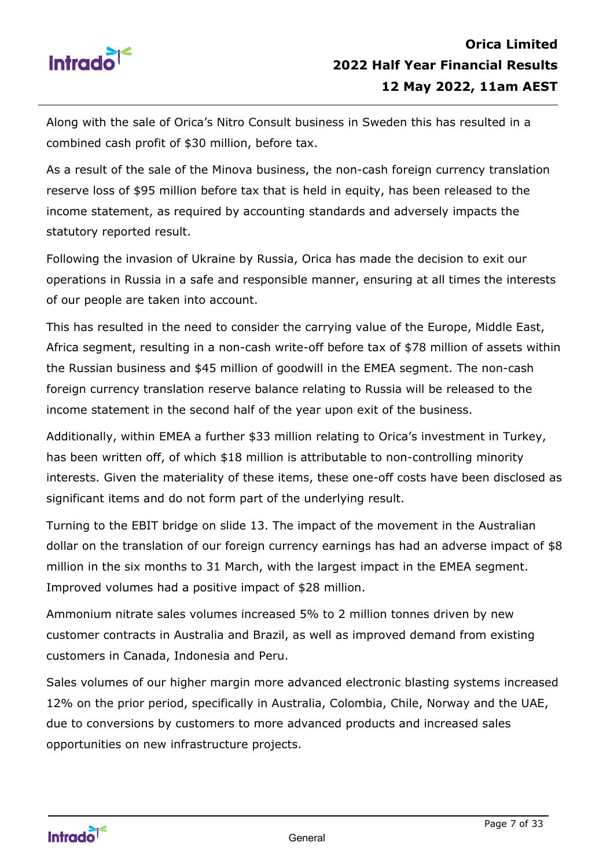

Along with the sale of Orica's Nitro Consult business in Sweden this has resulted in a combined cash profit of \$30 million, before tax.

As a result of the sale of the Minova business, the non-cash foreign currency translation reserve loss of \$95 million before tax that is held in equity, has been released to the income statement, as required by accounting standards and adversely impacts the statutory reported result.

Following the invasion of Ukraine by Russia, Orica has made the decision to exit our operations in Russia in a safe and responsible manner, ensuring at all times the interests of our people are taken into account.

This has resulted in the need to consider the carrying value of the Europe, Middle East, Africa segment, resulting in a non-cash write-off before tax of \$78 million of assets within the Russian business and \$45 million of goodwill in the EMEA segment. The non-cash foreign currency translation reserve balance relating to Russia will be released to the income statement in the second half of the year upon exit of the business.

Additionally, within EMEA a further \$33 million relating to Orica's investment in Turkey, has been written off, of which \$18 million is attributable to non-controlling minority interests. Given the materiality of these items, these one-off costs have been disclosed as significant items and do not form part of the underlying result.

Turning to the EBIT bridge on slide 13. The impact of the movement in the Australian dollar on the translation of our foreign currency earnings has had an adverse impact of \$8 million in the six months to 31 March, with the largest impact in the EMEA segment. Improved volumes had a positive impact of \$28 million.

Ammonium nitrate sales volumes increased 5% to 2 million tonnes driven by new customer contracts in Australia and Brazil, as well as improved demand from existing customers in Canada, Indonesia and Peru.

Sales volumes of our higher margin more advanced electronic blasting systems increased 12% on the prior period, specifically in Australia, Colombia, Chile, Norway and the UAE, due to conversions by customers to more advanced products and increased sales opportunities on new infrastructure projects.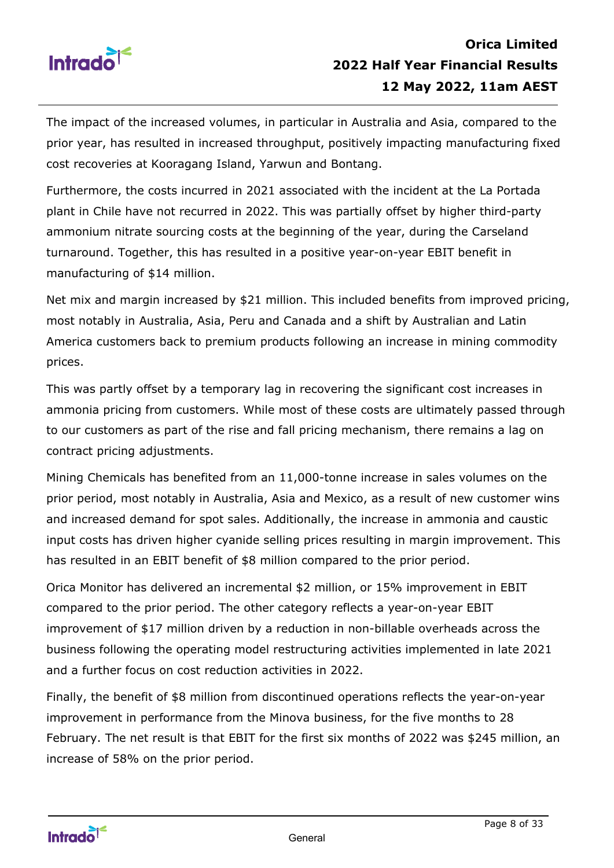

The impact of the increased volumes, in particular in Australia and Asia, compared to the prior year, has resulted in increased throughput, positively impacting manufacturing fixed cost recoveries at Kooragang Island, Yarwun and Bontang.

Furthermore, the costs incurred in 2021 associated with the incident at the La Portada plant in Chile have not recurred in 2022. This was partially offset by higher third-party ammonium nitrate sourcing costs at the beginning of the year, during the Carseland turnaround. Together, this has resulted in a positive year-on-year EBIT benefit in manufacturing of \$14 million.

Net mix and margin increased by \$21 million. This included benefits from improved pricing, most notably in Australia, Asia, Peru and Canada and a shift by Australian and Latin America customers back to premium products following an increase in mining commodity prices.

This was partly offset by a temporary lag in recovering the significant cost increases in ammonia pricing from customers. While most of these costs are ultimately passed through to our customers as part of the rise and fall pricing mechanism, there remains a lag on contract pricing adjustments.

Mining Chemicals has benefited from an 11,000-tonne increase in sales volumes on the prior period, most notably in Australia, Asia and Mexico, as a result of new customer wins and increased demand for spot sales. Additionally, the increase in ammonia and caustic input costs has driven higher cyanide selling prices resulting in margin improvement. This has resulted in an EBIT benefit of \$8 million compared to the prior period.

Orica Monitor has delivered an incremental \$2 million, or 15% improvement in EBIT compared to the prior period. The other category reflects a year-on-year EBIT improvement of \$17 million driven by a reduction in non-billable overheads across the business following the operating model restructuring activities implemented in late 2021 and a further focus on cost reduction activities in 2022.

Finally, the benefit of \$8 million from discontinued operations reflects the year-on-year improvement in performance from the Minova business, for the five months to 28 February. The net result is that EBIT for the first six months of 2022 was \$245 million, an increase of 58% on the prior period.

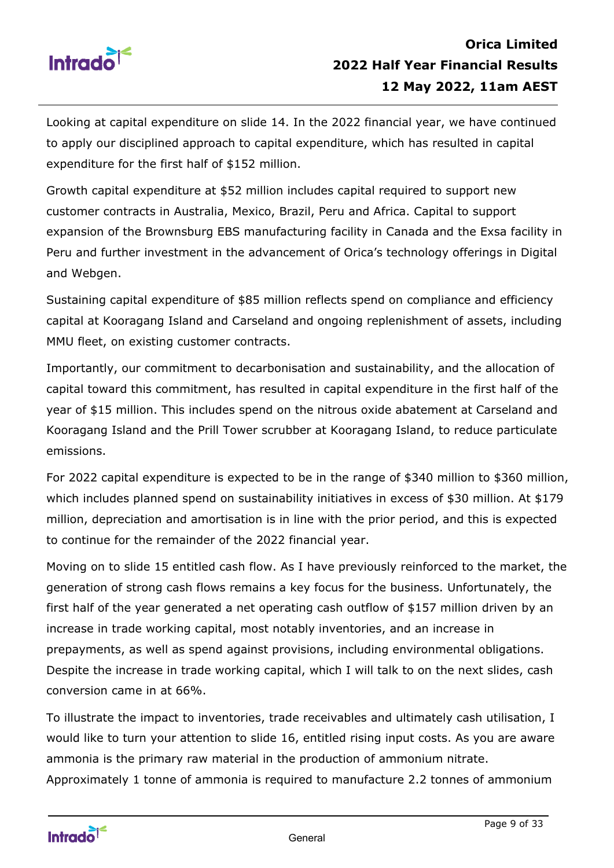

Looking at capital expenditure on slide 14. In the 2022 financial year, we have continued to apply our disciplined approach to capital expenditure, which has resulted in capital expenditure for the first half of \$152 million.

Growth capital expenditure at \$52 million includes capital required to support new customer contracts in Australia, Mexico, Brazil, Peru and Africa. Capital to support expansion of the Brownsburg EBS manufacturing facility in Canada and the Exsa facility in Peru and further investment in the advancement of Orica's technology offerings in Digital and Webgen.

Sustaining capital expenditure of \$85 million reflects spend on compliance and efficiency capital at Kooragang Island and Carseland and ongoing replenishment of assets, including MMU fleet, on existing customer contracts.

Importantly, our commitment to decarbonisation and sustainability, and the allocation of capital toward this commitment, has resulted in capital expenditure in the first half of the year of \$15 million. This includes spend on the nitrous oxide abatement at Carseland and Kooragang Island and the Prill Tower scrubber at Kooragang Island, to reduce particulate emissions.

For 2022 capital expenditure is expected to be in the range of \$340 million to \$360 million, which includes planned spend on sustainability initiatives in excess of \$30 million. At \$179 million, depreciation and amortisation is in line with the prior period, and this is expected to continue for the remainder of the 2022 financial year.

Moving on to slide 15 entitled cash flow. As I have previously reinforced to the market, the generation of strong cash flows remains a key focus for the business. Unfortunately, the first half of the year generated a net operating cash outflow of \$157 million driven by an increase in trade working capital, most notably inventories, and an increase in prepayments, as well as spend against provisions, including environmental obligations. Despite the increase in trade working capital, which I will talk to on the next slides, cash conversion came in at 66%.

To illustrate the impact to inventories, trade receivables and ultimately cash utilisation, I would like to turn your attention to slide 16, entitled rising input costs. As you are aware ammonia is the primary raw material in the production of ammonium nitrate. Approximately 1 tonne of ammonia is required to manufacture 2.2 tonnes of ammonium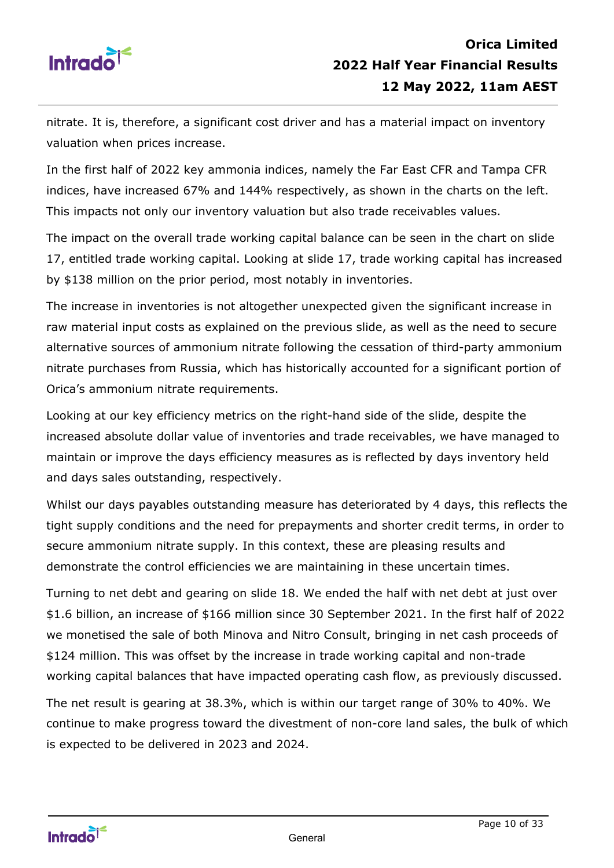

nitrate. It is, therefore, a significant cost driver and has a material impact on inventory valuation when prices increase.

In the first half of 2022 key ammonia indices, namely the Far East CFR and Tampa CFR indices, have increased 67% and 144% respectively, as shown in the charts on the left. This impacts not only our inventory valuation but also trade receivables values.

The impact on the overall trade working capital balance can be seen in the chart on slide 17, entitled trade working capital. Looking at slide 17, trade working capital has increased by \$138 million on the prior period, most notably in inventories.

The increase in inventories is not altogether unexpected given the significant increase in raw material input costs as explained on the previous slide, as well as the need to secure alternative sources of ammonium nitrate following the cessation of third-party ammonium nitrate purchases from Russia, which has historically accounted for a significant portion of Orica's ammonium nitrate requirements.

Looking at our key efficiency metrics on the right-hand side of the slide, despite the increased absolute dollar value of inventories and trade receivables, we have managed to maintain or improve the days efficiency measures as is reflected by days inventory held and days sales outstanding, respectively.

Whilst our days payables outstanding measure has deteriorated by 4 days, this reflects the tight supply conditions and the need for prepayments and shorter credit terms, in order to secure ammonium nitrate supply. In this context, these are pleasing results and demonstrate the control efficiencies we are maintaining in these uncertain times.

Turning to net debt and gearing on slide 18. We ended the half with net debt at just over \$1.6 billion, an increase of \$166 million since 30 September 2021. In the first half of 2022 we monetised the sale of both Minova and Nitro Consult, bringing in net cash proceeds of \$124 million. This was offset by the increase in trade working capital and non-trade working capital balances that have impacted operating cash flow, as previously discussed.

The net result is gearing at 38.3%, which is within our target range of 30% to 40%. We continue to make progress toward the divestment of non-core land sales, the bulk of which is expected to be delivered in 2023 and 2024.

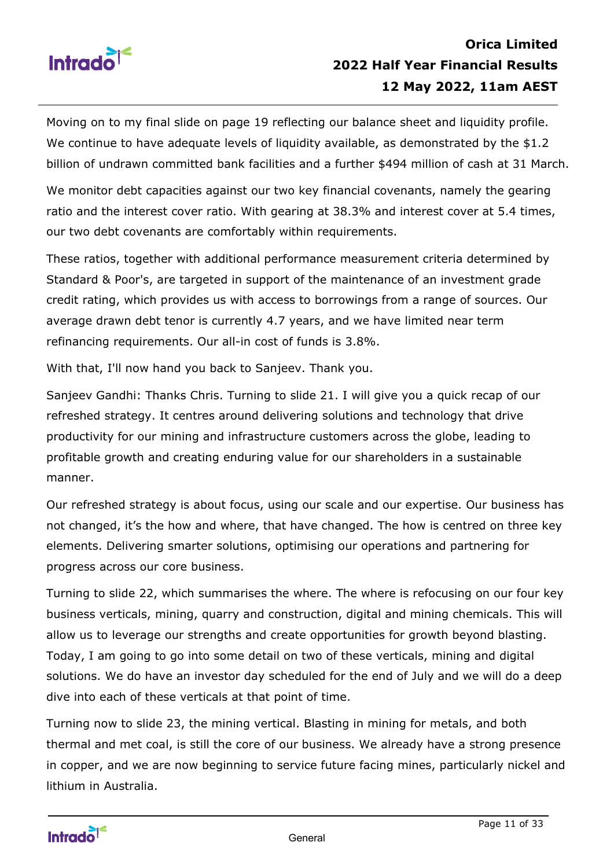

Moving on to my final slide on page 19 reflecting our balance sheet and liquidity profile. We continue to have adequate levels of liquidity available, as demonstrated by the \$1.2 billion of undrawn committed bank facilities and a further \$494 million of cash at 31 March.

We monitor debt capacities against our two key financial covenants, namely the gearing ratio and the interest cover ratio. With gearing at 38.3% and interest cover at 5.4 times, our two debt covenants are comfortably within requirements.

These ratios, together with additional performance measurement criteria determined by Standard & Poor's, are targeted in support of the maintenance of an investment grade credit rating, which provides us with access to borrowings from a range of sources. Our average drawn debt tenor is currently 4.7 years, and we have limited near term refinancing requirements. Our all-in cost of funds is 3.8%.

With that, I'll now hand you back to Sanjeev. Thank you.

Sanjeev Gandhi: Thanks Chris. Turning to slide 21. I will give you a quick recap of our refreshed strategy. It centres around delivering solutions and technology that drive productivity for our mining and infrastructure customers across the globe, leading to profitable growth and creating enduring value for our shareholders in a sustainable manner.

Our refreshed strategy is about focus, using our scale and our expertise. Our business has not changed, it's the how and where, that have changed. The how is centred on three key elements. Delivering smarter solutions, optimising our operations and partnering for progress across our core business.

Turning to slide 22, which summarises the where. The where is refocusing on our four key business verticals, mining, quarry and construction, digital and mining chemicals. This will allow us to leverage our strengths and create opportunities for growth beyond blasting. Today, I am going to go into some detail on two of these verticals, mining and digital solutions. We do have an investor day scheduled for the end of July and we will do a deep dive into each of these verticals at that point of time.

Turning now to slide 23, the mining vertical. Blasting in mining for metals, and both thermal and met coal, is still the core of our business. We already have a strong presence in copper, and we are now beginning to service future facing mines, particularly nickel and lithium in Australia.

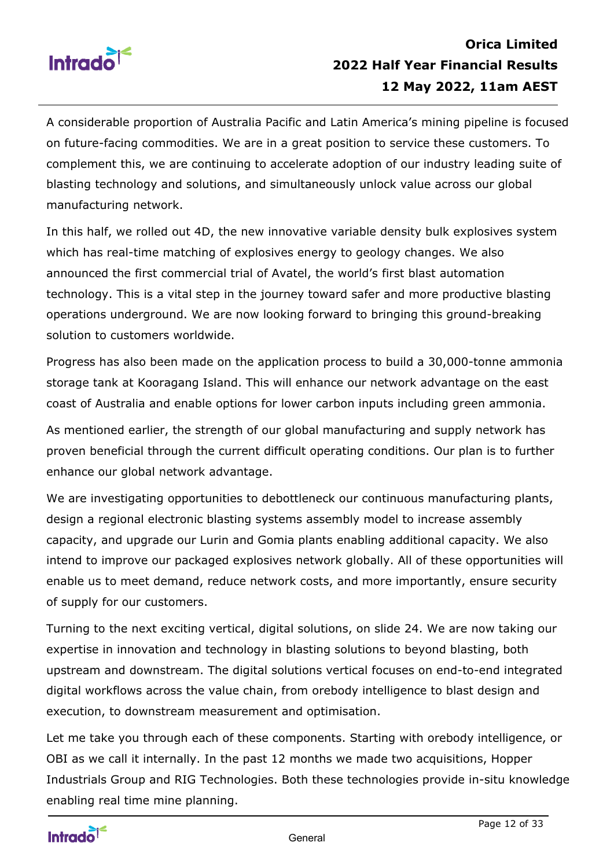

A considerable proportion of Australia Pacific and Latin America's mining pipeline is focused on future-facing commodities. We are in a great position to service these customers. To complement this, we are continuing to accelerate adoption of our industry leading suite of blasting technology and solutions, and simultaneously unlock value across our global manufacturing network.

In this half, we rolled out 4D, the new innovative variable density bulk explosives system which has real-time matching of explosives energy to geology changes. We also announced the first commercial trial of Avatel, the world's first blast automation technology. This is a vital step in the journey toward safer and more productive blasting operations underground. We are now looking forward to bringing this ground-breaking solution to customers worldwide.

Progress has also been made on the application process to build a 30,000-tonne ammonia storage tank at Kooragang Island. This will enhance our network advantage on the east coast of Australia and enable options for lower carbon inputs including green ammonia.

As mentioned earlier, the strength of our global manufacturing and supply network has proven beneficial through the current difficult operating conditions. Our plan is to further enhance our global network advantage.

We are investigating opportunities to debottleneck our continuous manufacturing plants, design a regional electronic blasting systems assembly model to increase assembly capacity, and upgrade our Lurin and Gomia plants enabling additional capacity. We also intend to improve our packaged explosives network globally. All of these opportunities will enable us to meet demand, reduce network costs, and more importantly, ensure security of supply for our customers.

Turning to the next exciting vertical, digital solutions, on slide 24. We are now taking our expertise in innovation and technology in blasting solutions to beyond blasting, both upstream and downstream. The digital solutions vertical focuses on end-to-end integrated digital workflows across the value chain, from orebody intelligence to blast design and execution, to downstream measurement and optimisation.

Let me take you through each of these components. Starting with orebody intelligence, or OBI as we call it internally. In the past 12 months we made two acquisitions, Hopper Industrials Group and RIG Technologies. Both these technologies provide in-situ knowledge enabling real time mine planning.

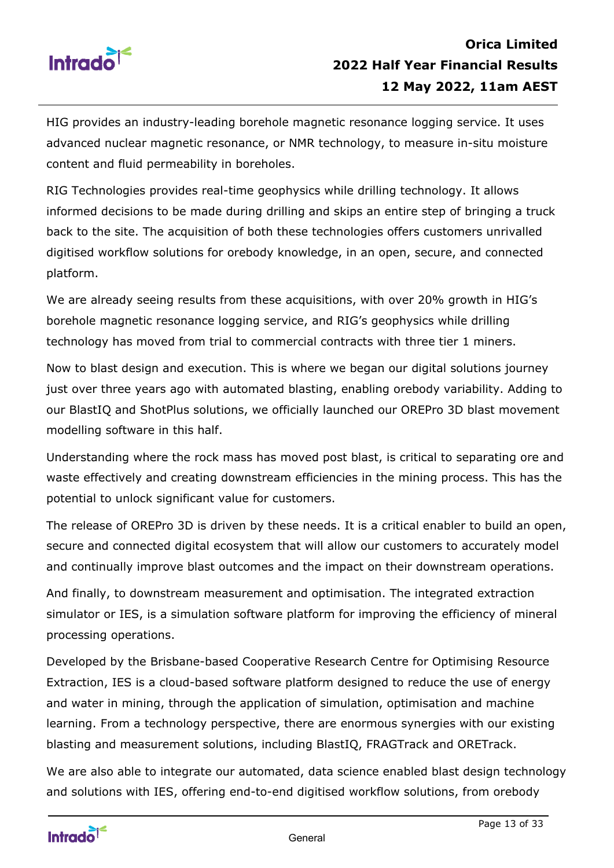

HIG provides an industry-leading borehole magnetic resonance logging service. It uses advanced nuclear magnetic resonance, or NMR technology, to measure in-situ moisture content and fluid permeability in boreholes.

RIG Technologies provides real-time geophysics while drilling technology. It allows informed decisions to be made during drilling and skips an entire step of bringing a truck back to the site. The acquisition of both these technologies offers customers unrivalled digitised workflow solutions for orebody knowledge, in an open, secure, and connected platform.

We are already seeing results from these acquisitions, with over 20% growth in HIG's borehole magnetic resonance logging service, and RIG's geophysics while drilling technology has moved from trial to commercial contracts with three tier 1 miners.

Now to blast design and execution. This is where we began our digital solutions journey just over three years ago with automated blasting, enabling orebody variability. Adding to our BlastIQ and ShotPlus solutions, we officially launched our OREPro 3D blast movement modelling software in this half.

Understanding where the rock mass has moved post blast, is critical to separating ore and waste effectively and creating downstream efficiencies in the mining process. This has the potential to unlock significant value for customers.

The release of OREPro 3D is driven by these needs. It is a critical enabler to build an open, secure and connected digital ecosystem that will allow our customers to accurately model and continually improve blast outcomes and the impact on their downstream operations.

And finally, to downstream measurement and optimisation. The integrated extraction simulator or IES, is a simulation software platform for improving the efficiency of mineral processing operations.

Developed by the Brisbane-based Cooperative Research Centre for Optimising Resource Extraction, IES is a cloud-based software platform designed to reduce the use of energy and water in mining, through the application of simulation, optimisation and machine learning. From a technology perspective, there are enormous synergies with our existing blasting and measurement solutions, including BlastIQ, FRAGTrack and ORETrack.

We are also able to integrate our automated, data science enabled blast design technology and solutions with IES, offering end-to-end digitised workflow solutions, from orebody

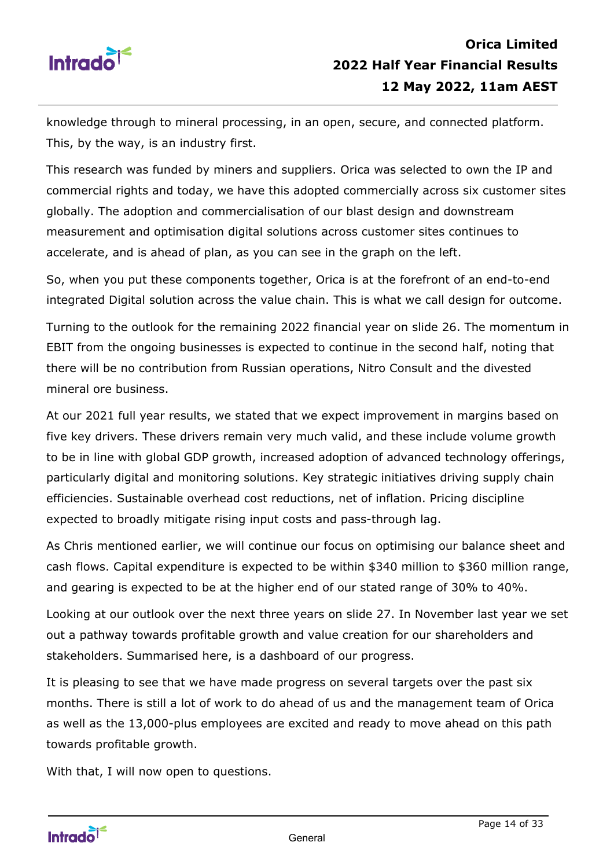

knowledge through to mineral processing, in an open, secure, and connected platform. This, by the way, is an industry first.

This research was funded by miners and suppliers. Orica was selected to own the IP and commercial rights and today, we have this adopted commercially across six customer sites globally. The adoption and commercialisation of our blast design and downstream measurement and optimisation digital solutions across customer sites continues to accelerate, and is ahead of plan, as you can see in the graph on the left.

So, when you put these components together, Orica is at the forefront of an end-to-end integrated Digital solution across the value chain. This is what we call design for outcome.

Turning to the outlook for the remaining 2022 financial year on slide 26. The momentum in EBIT from the ongoing businesses is expected to continue in the second half, noting that there will be no contribution from Russian operations, Nitro Consult and the divested mineral ore business.

At our 2021 full year results, we stated that we expect improvement in margins based on five key drivers. These drivers remain very much valid, and these include volume growth to be in line with global GDP growth, increased adoption of advanced technology offerings, particularly digital and monitoring solutions. Key strategic initiatives driving supply chain efficiencies. Sustainable overhead cost reductions, net of inflation. Pricing discipline expected to broadly mitigate rising input costs and pass-through lag.

As Chris mentioned earlier, we will continue our focus on optimising our balance sheet and cash flows. Capital expenditure is expected to be within \$340 million to \$360 million range, and gearing is expected to be at the higher end of our stated range of 30% to 40%.

Looking at our outlook over the next three years on slide 27. In November last year we set out a pathway towards profitable growth and value creation for our shareholders and stakeholders. Summarised here, is a dashboard of our progress.

It is pleasing to see that we have made progress on several targets over the past six months. There is still a lot of work to do ahead of us and the management team of Orica as well as the 13,000-plus employees are excited and ready to move ahead on this path towards profitable growth.

With that, I will now open to questions.

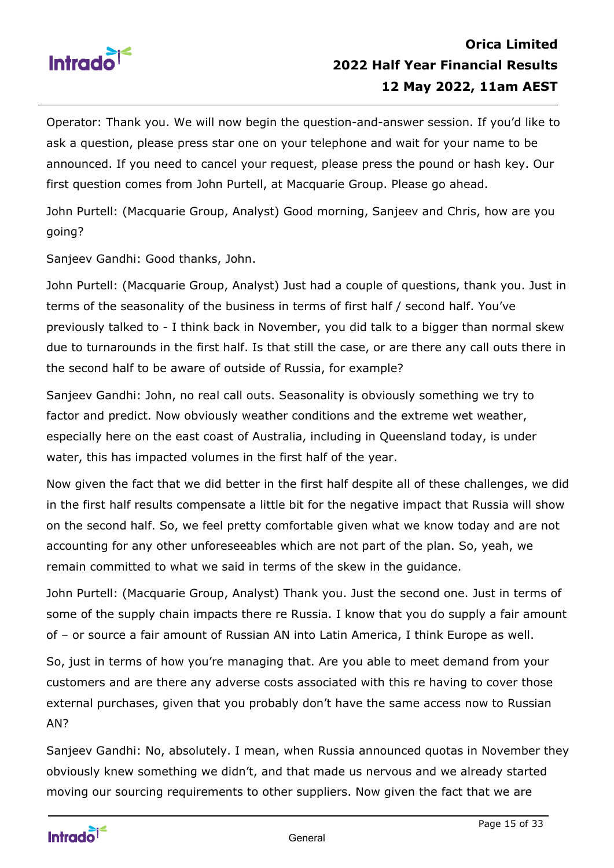

Operator: Thank you. We will now begin the question-and-answer session. If you'd like to ask a question, please press star one on your telephone and wait for your name to be announced. If you need to cancel your request, please press the pound or hash key. Our first question comes from John Purtell, at Macquarie Group. Please go ahead.

John Purtell: (Macquarie Group, Analyst) Good morning, Sanjeev and Chris, how are you going?

Sanjeev Gandhi: Good thanks, John.

John Purtell: (Macquarie Group, Analyst) Just had a couple of questions, thank you. Just in terms of the seasonality of the business in terms of first half / second half. You've previously talked to - I think back in November, you did talk to a bigger than normal skew due to turnarounds in the first half. Is that still the case, or are there any call outs there in the second half to be aware of outside of Russia, for example?

Sanjeev Gandhi: John, no real call outs. Seasonality is obviously something we try to factor and predict. Now obviously weather conditions and the extreme wet weather, especially here on the east coast of Australia, including in Queensland today, is under water, this has impacted volumes in the first half of the year.

Now given the fact that we did better in the first half despite all of these challenges, we did in the first half results compensate a little bit for the negative impact that Russia will show on the second half. So, we feel pretty comfortable given what we know today and are not accounting for any other unforeseeables which are not part of the plan. So, yeah, we remain committed to what we said in terms of the skew in the guidance.

John Purtell: (Macquarie Group, Analyst) Thank you. Just the second one. Just in terms of some of the supply chain impacts there re Russia. I know that you do supply a fair amount of – or source a fair amount of Russian AN into Latin America, I think Europe as well.

So, just in terms of how you're managing that. Are you able to meet demand from your customers and are there any adverse costs associated with this re having to cover those external purchases, given that you probably don't have the same access now to Russian AN?

Sanjeev Gandhi: No, absolutely. I mean, when Russia announced quotas in November they obviously knew something we didn't, and that made us nervous and we already started moving our sourcing requirements to other suppliers. Now given the fact that we are

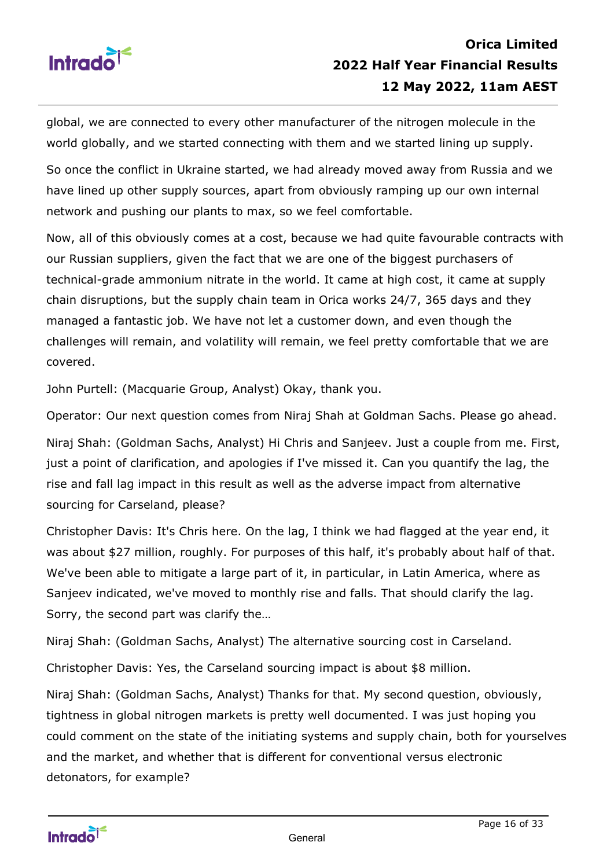

global, we are connected to every other manufacturer of the nitrogen molecule in the world globally, and we started connecting with them and we started lining up supply.

So once the conflict in Ukraine started, we had already moved away from Russia and we have lined up other supply sources, apart from obviously ramping up our own internal network and pushing our plants to max, so we feel comfortable.

Now, all of this obviously comes at a cost, because we had quite favourable contracts with our Russian suppliers, given the fact that we are one of the biggest purchasers of technical-grade ammonium nitrate in the world. It came at high cost, it came at supply chain disruptions, but the supply chain team in Orica works 24/7, 365 days and they managed a fantastic job. We have not let a customer down, and even though the challenges will remain, and volatility will remain, we feel pretty comfortable that we are covered.

John Purtell: (Macquarie Group, Analyst) Okay, thank you.

Operator: Our next question comes from Niraj Shah at Goldman Sachs. Please go ahead.

Niraj Shah: (Goldman Sachs, Analyst) Hi Chris and Sanjeev. Just a couple from me. First, just a point of clarification, and apologies if I've missed it. Can you quantify the lag, the rise and fall lag impact in this result as well as the adverse impact from alternative sourcing for Carseland, please?

Christopher Davis: It's Chris here. On the lag, I think we had flagged at the year end, it was about \$27 million, roughly. For purposes of this half, it's probably about half of that. We've been able to mitigate a large part of it, in particular, in Latin America, where as Sanjeev indicated, we've moved to monthly rise and falls. That should clarify the lag. Sorry, the second part was clarify the…

Niraj Shah: (Goldman Sachs, Analyst) The alternative sourcing cost in Carseland.

Christopher Davis: Yes, the Carseland sourcing impact is about \$8 million.

Niraj Shah: (Goldman Sachs, Analyst) Thanks for that. My second question, obviously, tightness in global nitrogen markets is pretty well documented. I was just hoping you could comment on the state of the initiating systems and supply chain, both for yourselves and the market, and whether that is different for conventional versus electronic detonators, for example?

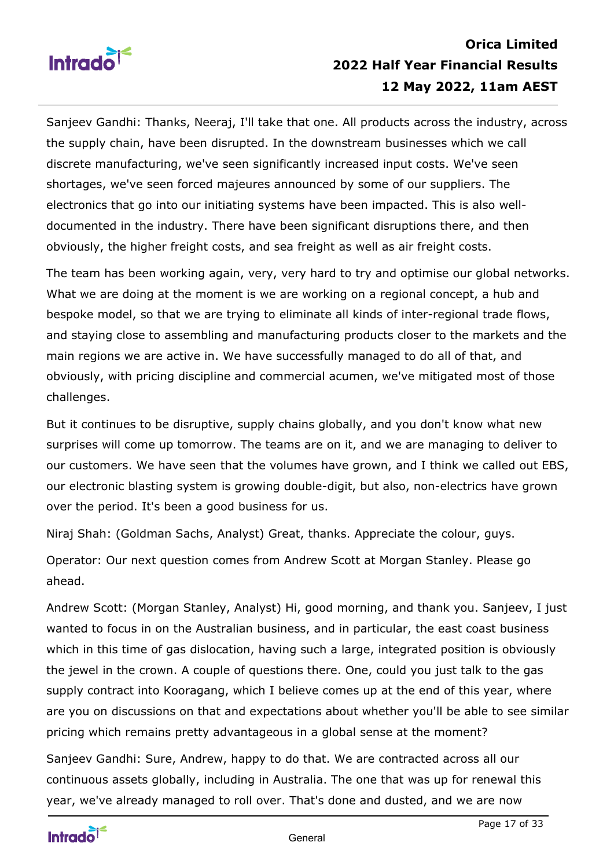

Sanjeev Gandhi: Thanks, Neeraj, I'll take that one. All products across the industry, across the supply chain, have been disrupted. In the downstream businesses which we call discrete manufacturing, we've seen significantly increased input costs. We've seen shortages, we've seen forced majeures announced by some of our suppliers. The electronics that go into our initiating systems have been impacted. This is also welldocumented in the industry. There have been significant disruptions there, and then obviously, the higher freight costs, and sea freight as well as air freight costs.

The team has been working again, very, very hard to try and optimise our global networks. What we are doing at the moment is we are working on a regional concept, a hub and bespoke model, so that we are trying to eliminate all kinds of inter-regional trade flows, and staying close to assembling and manufacturing products closer to the markets and the main regions we are active in. We have successfully managed to do all of that, and obviously, with pricing discipline and commercial acumen, we've mitigated most of those challenges.

But it continues to be disruptive, supply chains globally, and you don't know what new surprises will come up tomorrow. The teams are on it, and we are managing to deliver to our customers. We have seen that the volumes have grown, and I think we called out EBS, our electronic blasting system is growing double-digit, but also, non-electrics have grown over the period. It's been a good business for us.

Niraj Shah: (Goldman Sachs, Analyst) Great, thanks. Appreciate the colour, guys.

Operator: Our next question comes from Andrew Scott at Morgan Stanley. Please go ahead.

Andrew Scott: (Morgan Stanley, Analyst) Hi, good morning, and thank you. Sanjeev, I just wanted to focus in on the Australian business, and in particular, the east coast business which in this time of gas dislocation, having such a large, integrated position is obviously the jewel in the crown. A couple of questions there. One, could you just talk to the gas supply contract into Kooragang, which I believe comes up at the end of this year, where are you on discussions on that and expectations about whether you'll be able to see similar pricing which remains pretty advantageous in a global sense at the moment?

Sanjeev Gandhi: Sure, Andrew, happy to do that. We are contracted across all our continuous assets globally, including in Australia. The one that was up for renewal this year, we've already managed to roll over. That's done and dusted, and we are now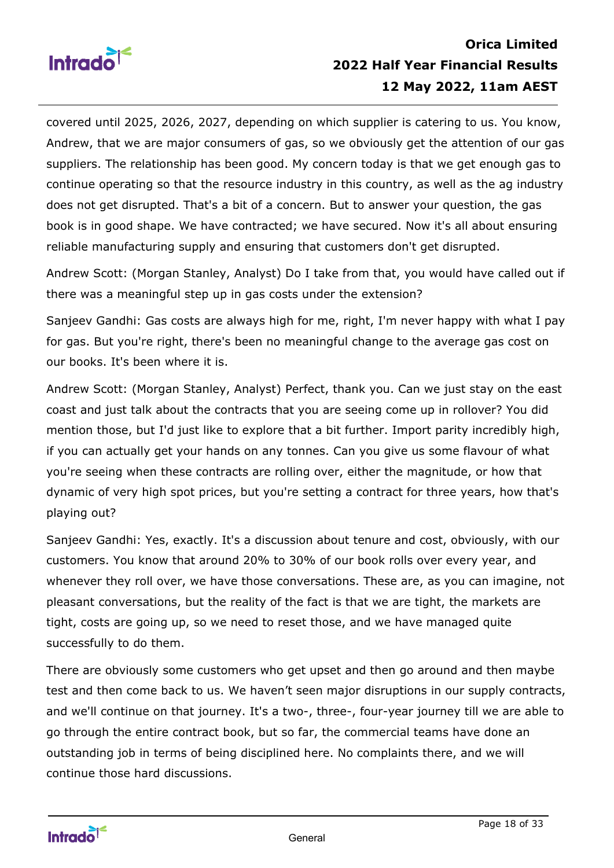

# **Orica Limited 2022 Half Year Financial Results 12 May 2022, 11am AEST**

covered until 2025, 2026, 2027, depending on which supplier is catering to us. You know, Andrew, that we are major consumers of gas, so we obviously get the attention of our gas suppliers. The relationship has been good. My concern today is that we get enough gas to continue operating so that the resource industry in this country, as well as the ag industry does not get disrupted. That's a bit of a concern. But to answer your question, the gas book is in good shape. We have contracted; we have secured. Now it's all about ensuring reliable manufacturing supply and ensuring that customers don't get disrupted.

Andrew Scott: (Morgan Stanley, Analyst) Do I take from that, you would have called out if there was a meaningful step up in gas costs under the extension?

Sanjeev Gandhi: Gas costs are always high for me, right, I'm never happy with what I pay for gas. But you're right, there's been no meaningful change to the average gas cost on our books. It's been where it is.

Andrew Scott: (Morgan Stanley, Analyst) Perfect, thank you. Can we just stay on the east coast and just talk about the contracts that you are seeing come up in rollover? You did mention those, but I'd just like to explore that a bit further. Import parity incredibly high, if you can actually get your hands on any tonnes. Can you give us some flavour of what you're seeing when these contracts are rolling over, either the magnitude, or how that dynamic of very high spot prices, but you're setting a contract for three years, how that's playing out?

Sanjeev Gandhi: Yes, exactly. It's a discussion about tenure and cost, obviously, with our customers. You know that around 20% to 30% of our book rolls over every year, and whenever they roll over, we have those conversations. These are, as you can imagine, not pleasant conversations, but the reality of the fact is that we are tight, the markets are tight, costs are going up, so we need to reset those, and we have managed quite successfully to do them.

There are obviously some customers who get upset and then go around and then maybe test and then come back to us. We haven't seen major disruptions in our supply contracts, and we'll continue on that journey. It's a two-, three-, four-year journey till we are able to go through the entire contract book, but so far, the commercial teams have done an outstanding job in terms of being disciplined here. No complaints there, and we will continue those hard discussions.

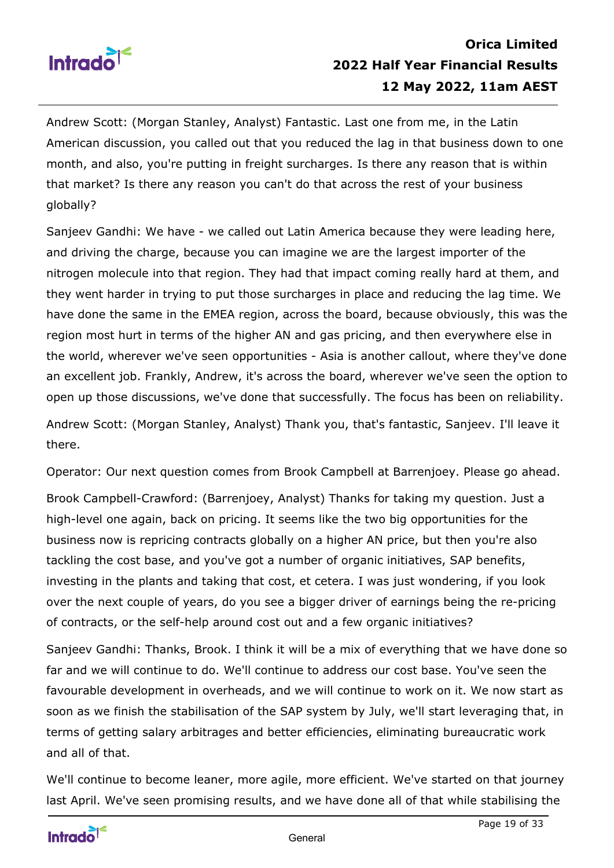

Andrew Scott: (Morgan Stanley, Analyst) Fantastic. Last one from me, in the Latin American discussion, you called out that you reduced the lag in that business down to one month, and also, you're putting in freight surcharges. Is there any reason that is within that market? Is there any reason you can't do that across the rest of your business globally?

Sanjeev Gandhi: We have - we called out Latin America because they were leading here, and driving the charge, because you can imagine we are the largest importer of the nitrogen molecule into that region. They had that impact coming really hard at them, and they went harder in trying to put those surcharges in place and reducing the lag time. We have done the same in the EMEA region, across the board, because obviously, this was the region most hurt in terms of the higher AN and gas pricing, and then everywhere else in the world, wherever we've seen opportunities - Asia is another callout, where they've done an excellent job. Frankly, Andrew, it's across the board, wherever we've seen the option to open up those discussions, we've done that successfully. The focus has been on reliability.

Andrew Scott: (Morgan Stanley, Analyst) Thank you, that's fantastic, Sanjeev. I'll leave it there.

Operator: Our next question comes from Brook Campbell at Barrenjoey. Please go ahead.

Brook Campbell-Crawford: (Barrenjoey, Analyst) Thanks for taking my question. Just a high-level one again, back on pricing. It seems like the two big opportunities for the business now is repricing contracts globally on a higher AN price, but then you're also tackling the cost base, and you've got a number of organic initiatives, SAP benefits, investing in the plants and taking that cost, et cetera. I was just wondering, if you look over the next couple of years, do you see a bigger driver of earnings being the re-pricing of contracts, or the self-help around cost out and a few organic initiatives?

Sanjeev Gandhi: Thanks, Brook. I think it will be a mix of everything that we have done so far and we will continue to do. We'll continue to address our cost base. You've seen the favourable development in overheads, and we will continue to work on it. We now start as soon as we finish the stabilisation of the SAP system by July, we'll start leveraging that, in terms of getting salary arbitrages and better efficiencies, eliminating bureaucratic work and all of that.

We'll continue to become leaner, more agile, more efficient. We've started on that journey last April. We've seen promising results, and we have done all of that while stabilising the

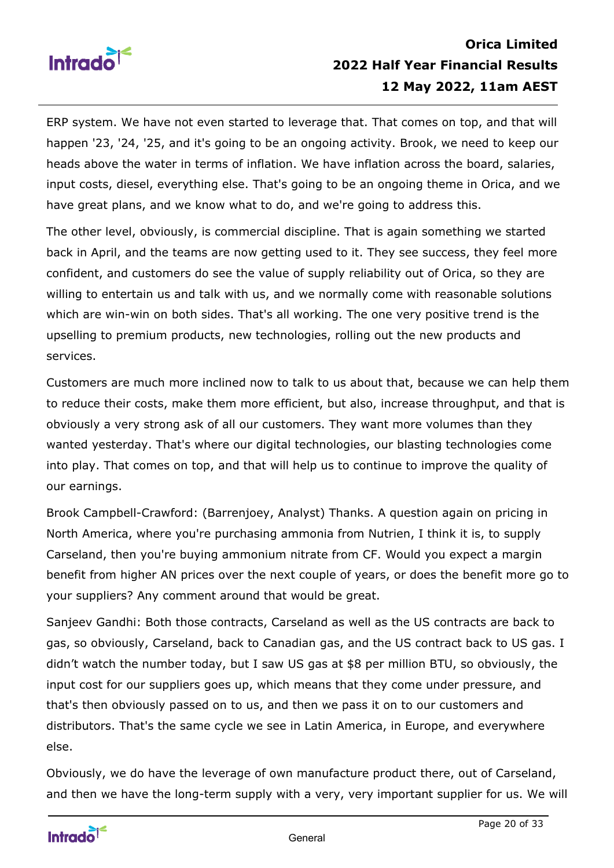

# **Orica Limited 2022 Half Year Financial Results 12 May 2022, 11am AEST**

ERP system. We have not even started to leverage that. That comes on top, and that will happen '23, '24, '25, and it's going to be an ongoing activity. Brook, we need to keep our heads above the water in terms of inflation. We have inflation across the board, salaries, input costs, diesel, everything else. That's going to be an ongoing theme in Orica, and we have great plans, and we know what to do, and we're going to address this.

The other level, obviously, is commercial discipline. That is again something we started back in April, and the teams are now getting used to it. They see success, they feel more confident, and customers do see the value of supply reliability out of Orica, so they are willing to entertain us and talk with us, and we normally come with reasonable solutions which are win-win on both sides. That's all working. The one very positive trend is the upselling to premium products, new technologies, rolling out the new products and services.

Customers are much more inclined now to talk to us about that, because we can help them to reduce their costs, make them more efficient, but also, increase throughput, and that is obviously a very strong ask of all our customers. They want more volumes than they wanted yesterday. That's where our digital technologies, our blasting technologies come into play. That comes on top, and that will help us to continue to improve the quality of our earnings.

Brook Campbell-Crawford: (Barrenjoey, Analyst) Thanks. A question again on pricing in North America, where you're purchasing ammonia from Nutrien, I think it is, to supply Carseland, then you're buying ammonium nitrate from CF. Would you expect a margin benefit from higher AN prices over the next couple of years, or does the benefit more go to your suppliers? Any comment around that would be great.

Sanjeev Gandhi: Both those contracts, Carseland as well as the US contracts are back to gas, so obviously, Carseland, back to Canadian gas, and the US contract back to US gas. I didn't watch the number today, but I saw US gas at \$8 per million BTU, so obviously, the input cost for our suppliers goes up, which means that they come under pressure, and that's then obviously passed on to us, and then we pass it on to our customers and distributors. That's the same cycle we see in Latin America, in Europe, and everywhere else.

Obviously, we do have the leverage of own manufacture product there, out of Carseland, and then we have the long-term supply with a very, very important supplier for us. We will

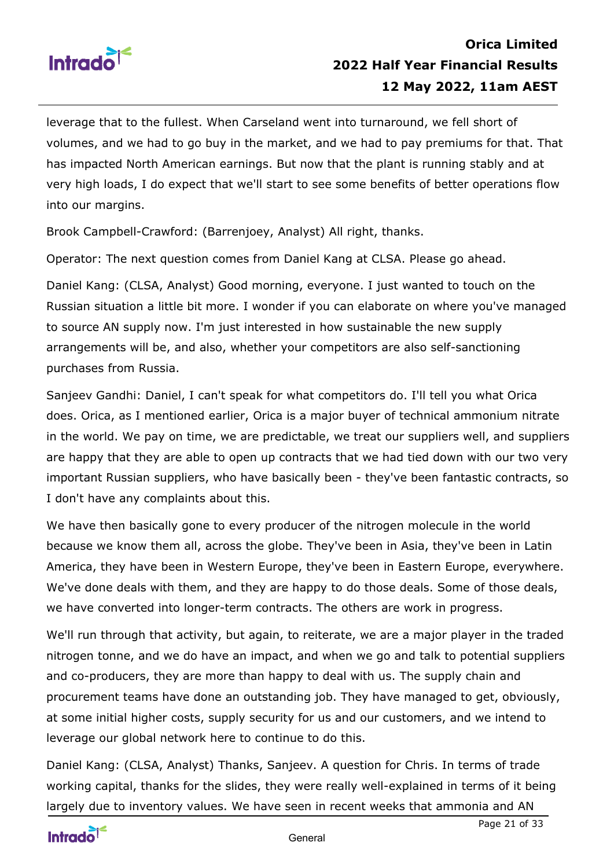

leverage that to the fullest. When Carseland went into turnaround, we fell short of volumes, and we had to go buy in the market, and we had to pay premiums for that. That has impacted North American earnings. But now that the plant is running stably and at very high loads, I do expect that we'll start to see some benefits of better operations flow into our margins.

Brook Campbell-Crawford: (Barrenjoey, Analyst) All right, thanks.

Operator: The next question comes from Daniel Kang at CLSA. Please go ahead.

Daniel Kang: (CLSA, Analyst) Good morning, everyone. I just wanted to touch on the Russian situation a little bit more. I wonder if you can elaborate on where you've managed to source AN supply now. I'm just interested in how sustainable the new supply arrangements will be, and also, whether your competitors are also self-sanctioning purchases from Russia.

Sanjeev Gandhi: Daniel, I can't speak for what competitors do. I'll tell you what Orica does. Orica, as I mentioned earlier, Orica is a major buyer of technical ammonium nitrate in the world. We pay on time, we are predictable, we treat our suppliers well, and suppliers are happy that they are able to open up contracts that we had tied down with our two very important Russian suppliers, who have basically been - they've been fantastic contracts, so I don't have any complaints about this.

We have then basically gone to every producer of the nitrogen molecule in the world because we know them all, across the globe. They've been in Asia, they've been in Latin America, they have been in Western Europe, they've been in Eastern Europe, everywhere. We've done deals with them, and they are happy to do those deals. Some of those deals, we have converted into longer-term contracts. The others are work in progress.

We'll run through that activity, but again, to reiterate, we are a major player in the traded nitrogen tonne, and we do have an impact, and when we go and talk to potential suppliers and co-producers, they are more than happy to deal with us. The supply chain and procurement teams have done an outstanding job. They have managed to get, obviously, at some initial higher costs, supply security for us and our customers, and we intend to leverage our global network here to continue to do this.

Daniel Kang: (CLSA, Analyst) Thanks, Sanjeev. A question for Chris. In terms of trade working capital, thanks for the slides, they were really well-explained in terms of it being largely due to inventory values. We have seen in recent weeks that ammonia and AN

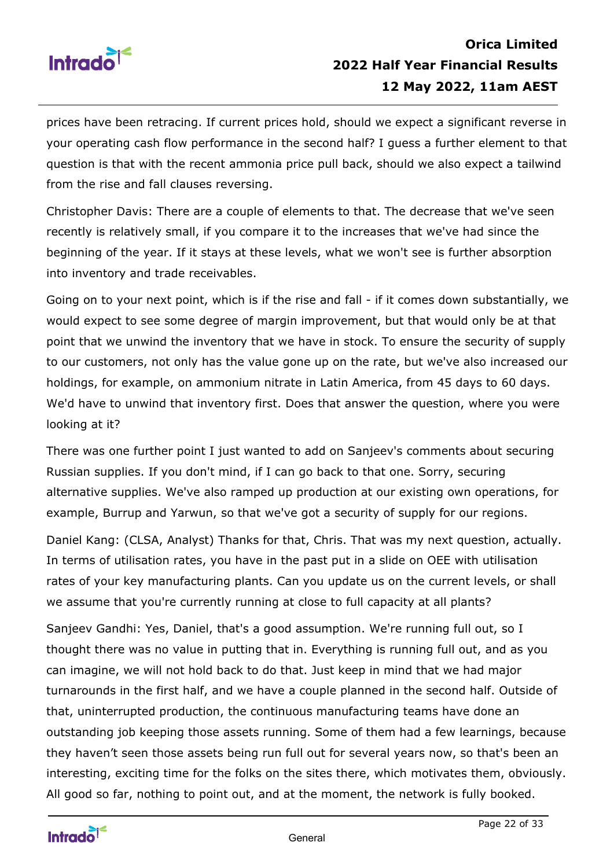

prices have been retracing. If current prices hold, should we expect a significant reverse in your operating cash flow performance in the second half? I guess a further element to that question is that with the recent ammonia price pull back, should we also expect a tailwind from the rise and fall clauses reversing.

Christopher Davis: There are a couple of elements to that. The decrease that we've seen recently is relatively small, if you compare it to the increases that we've had since the beginning of the year. If it stays at these levels, what we won't see is further absorption into inventory and trade receivables.

Going on to your next point, which is if the rise and fall - if it comes down substantially, we would expect to see some degree of margin improvement, but that would only be at that point that we unwind the inventory that we have in stock. To ensure the security of supply to our customers, not only has the value gone up on the rate, but we've also increased our holdings, for example, on ammonium nitrate in Latin America, from 45 days to 60 days. We'd have to unwind that inventory first. Does that answer the question, where you were looking at it?

There was one further point I just wanted to add on Sanjeev's comments about securing Russian supplies. If you don't mind, if I can go back to that one. Sorry, securing alternative supplies. We've also ramped up production at our existing own operations, for example, Burrup and Yarwun, so that we've got a security of supply for our regions.

Daniel Kang: (CLSA, Analyst) Thanks for that, Chris. That was my next question, actually. In terms of utilisation rates, you have in the past put in a slide on OEE with utilisation rates of your key manufacturing plants. Can you update us on the current levels, or shall we assume that you're currently running at close to full capacity at all plants?

Sanjeev Gandhi: Yes, Daniel, that's a good assumption. We're running full out, so I thought there was no value in putting that in. Everything is running full out, and as you can imagine, we will not hold back to do that. Just keep in mind that we had major turnarounds in the first half, and we have a couple planned in the second half. Outside of that, uninterrupted production, the continuous manufacturing teams have done an outstanding job keeping those assets running. Some of them had a few learnings, because they haven't seen those assets being run full out for several years now, so that's been an interesting, exciting time for the folks on the sites there, which motivates them, obviously. All good so far, nothing to point out, and at the moment, the network is fully booked.

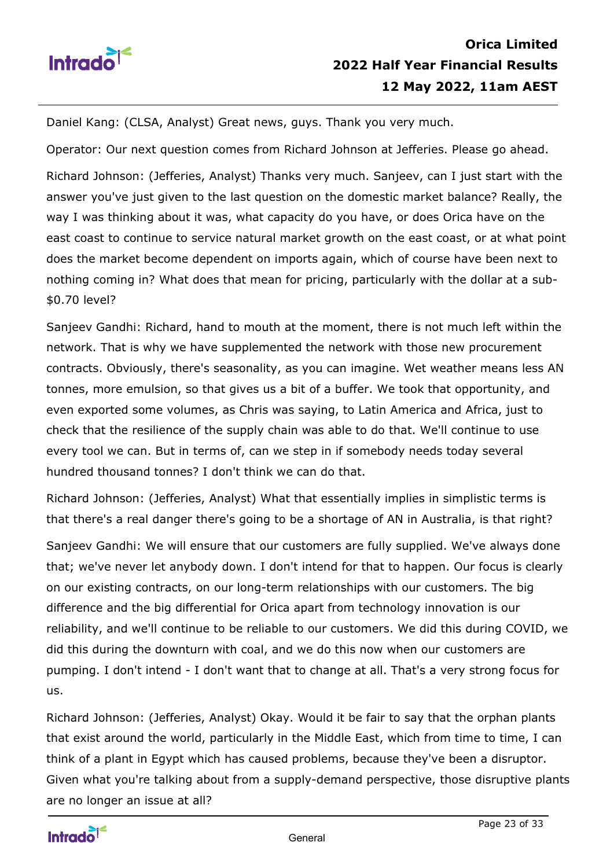

Daniel Kang: (CLSA, Analyst) Great news, guys. Thank you very much.

Operator: Our next question comes from Richard Johnson at Jefferies. Please go ahead.

Richard Johnson: (Jefferies, Analyst) Thanks very much. Sanjeev, can I just start with the answer you've just given to the last question on the domestic market balance? Really, the way I was thinking about it was, what capacity do you have, or does Orica have on the east coast to continue to service natural market growth on the east coast, or at what point does the market become dependent on imports again, which of course have been next to nothing coming in? What does that mean for pricing, particularly with the dollar at a sub- \$0.70 level?

Sanjeev Gandhi: Richard, hand to mouth at the moment, there is not much left within the network. That is why we have supplemented the network with those new procurement contracts. Obviously, there's seasonality, as you can imagine. Wet weather means less AN tonnes, more emulsion, so that gives us a bit of a buffer. We took that opportunity, and even exported some volumes, as Chris was saying, to Latin America and Africa, just to check that the resilience of the supply chain was able to do that. We'll continue to use every tool we can. But in terms of, can we step in if somebody needs today several hundred thousand tonnes? I don't think we can do that.

Richard Johnson: (Jefferies, Analyst) What that essentially implies in simplistic terms is that there's a real danger there's going to be a shortage of AN in Australia, is that right?

Sanjeev Gandhi: We will ensure that our customers are fully supplied. We've always done that; we've never let anybody down. I don't intend for that to happen. Our focus is clearly on our existing contracts, on our long-term relationships with our customers. The big difference and the big differential for Orica apart from technology innovation is our reliability, and we'll continue to be reliable to our customers. We did this during COVID, we did this during the downturn with coal, and we do this now when our customers are pumping. I don't intend - I don't want that to change at all. That's a very strong focus for us.

Richard Johnson: (Jefferies, Analyst) Okay. Would it be fair to say that the orphan plants that exist around the world, particularly in the Middle East, which from time to time, I can think of a plant in Egypt which has caused problems, because they've been a disruptor. Given what you're talking about from a supply-demand perspective, those disruptive plants are no longer an issue at all?

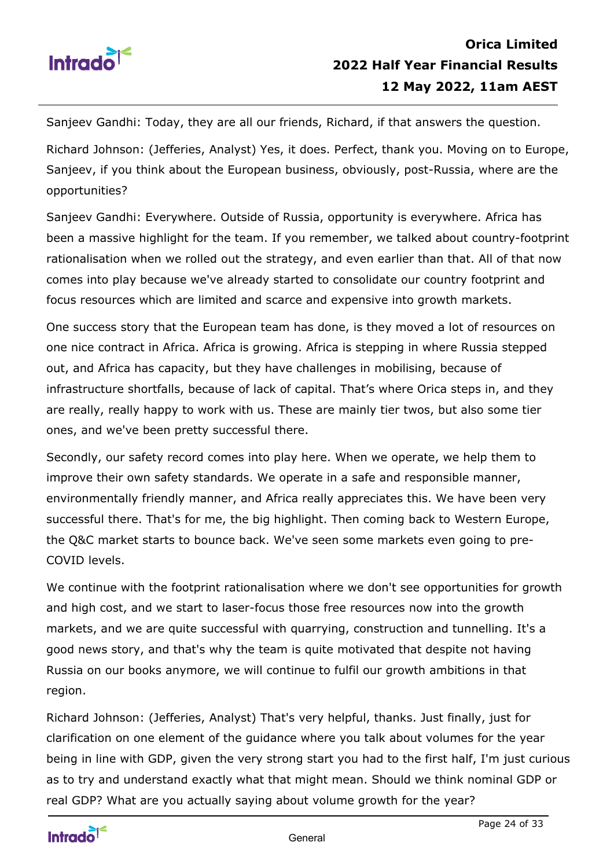

Sanjeev Gandhi: Today, they are all our friends, Richard, if that answers the question.

Richard Johnson: (Jefferies, Analyst) Yes, it does. Perfect, thank you. Moving on to Europe, Sanjeev, if you think about the European business, obviously, post-Russia, where are the opportunities?

Sanjeev Gandhi: Everywhere. Outside of Russia, opportunity is everywhere. Africa has been a massive highlight for the team. If you remember, we talked about country-footprint rationalisation when we rolled out the strategy, and even earlier than that. All of that now comes into play because we've already started to consolidate our country footprint and focus resources which are limited and scarce and expensive into growth markets.

One success story that the European team has done, is they moved a lot of resources on one nice contract in Africa. Africa is growing. Africa is stepping in where Russia stepped out, and Africa has capacity, but they have challenges in mobilising, because of infrastructure shortfalls, because of lack of capital. That's where Orica steps in, and they are really, really happy to work with us. These are mainly tier twos, but also some tier ones, and we've been pretty successful there.

Secondly, our safety record comes into play here. When we operate, we help them to improve their own safety standards. We operate in a safe and responsible manner, environmentally friendly manner, and Africa really appreciates this. We have been very successful there. That's for me, the big highlight. Then coming back to Western Europe, the Q&C market starts to bounce back. We've seen some markets even going to pre-COVID levels.

We continue with the footprint rationalisation where we don't see opportunities for growth and high cost, and we start to laser-focus those free resources now into the growth markets, and we are quite successful with quarrying, construction and tunnelling. It's a good news story, and that's why the team is quite motivated that despite not having Russia on our books anymore, we will continue to fulfil our growth ambitions in that region.

Richard Johnson: (Jefferies, Analyst) That's very helpful, thanks. Just finally, just for clarification on one element of the guidance where you talk about volumes for the year being in line with GDP, given the very strong start you had to the first half, I'm just curious as to try and understand exactly what that might mean. Should we think nominal GDP or real GDP? What are you actually saying about volume growth for the year?

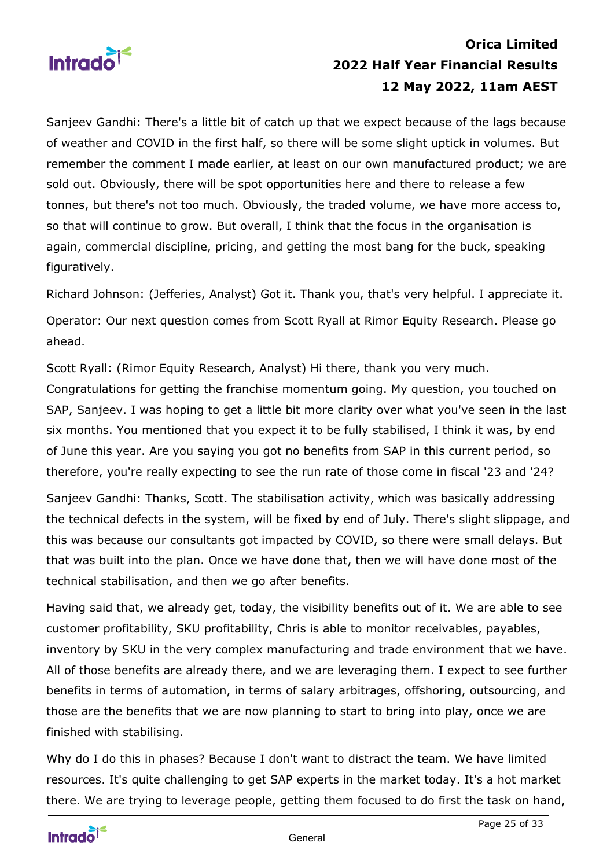

# **Orica Limited 2022 Half Year Financial Results 12 May 2022, 11am AEST**

Sanjeev Gandhi: There's a little bit of catch up that we expect because of the lags because of weather and COVID in the first half, so there will be some slight uptick in volumes. But remember the comment I made earlier, at least on our own manufactured product; we are sold out. Obviously, there will be spot opportunities here and there to release a few tonnes, but there's not too much. Obviously, the traded volume, we have more access to, so that will continue to grow. But overall, I think that the focus in the organisation is again, commercial discipline, pricing, and getting the most bang for the buck, speaking figuratively.

Richard Johnson: (Jefferies, Analyst) Got it. Thank you, that's very helpful. I appreciate it. Operator: Our next question comes from Scott Ryall at Rimor Equity Research. Please go ahead.

Scott Ryall: (Rimor Equity Research, Analyst) Hi there, thank you very much. Congratulations for getting the franchise momentum going. My question, you touched on SAP, Sanjeev. I was hoping to get a little bit more clarity over what you've seen in the last six months. You mentioned that you expect it to be fully stabilised, I think it was, by end of June this year. Are you saying you got no benefits from SAP in this current period, so therefore, you're really expecting to see the run rate of those come in fiscal '23 and '24?

Sanjeev Gandhi: Thanks, Scott. The stabilisation activity, which was basically addressing the technical defects in the system, will be fixed by end of July. There's slight slippage, and this was because our consultants got impacted by COVID, so there were small delays. But that was built into the plan. Once we have done that, then we will have done most of the technical stabilisation, and then we go after benefits.

Having said that, we already get, today, the visibility benefits out of it. We are able to see customer profitability, SKU profitability, Chris is able to monitor receivables, payables, inventory by SKU in the very complex manufacturing and trade environment that we have. All of those benefits are already there, and we are leveraging them. I expect to see further benefits in terms of automation, in terms of salary arbitrages, offshoring, outsourcing, and those are the benefits that we are now planning to start to bring into play, once we are finished with stabilising.

Why do I do this in phases? Because I don't want to distract the team. We have limited resources. It's quite challenging to get SAP experts in the market today. It's a hot market there. We are trying to leverage people, getting them focused to do first the task on hand,

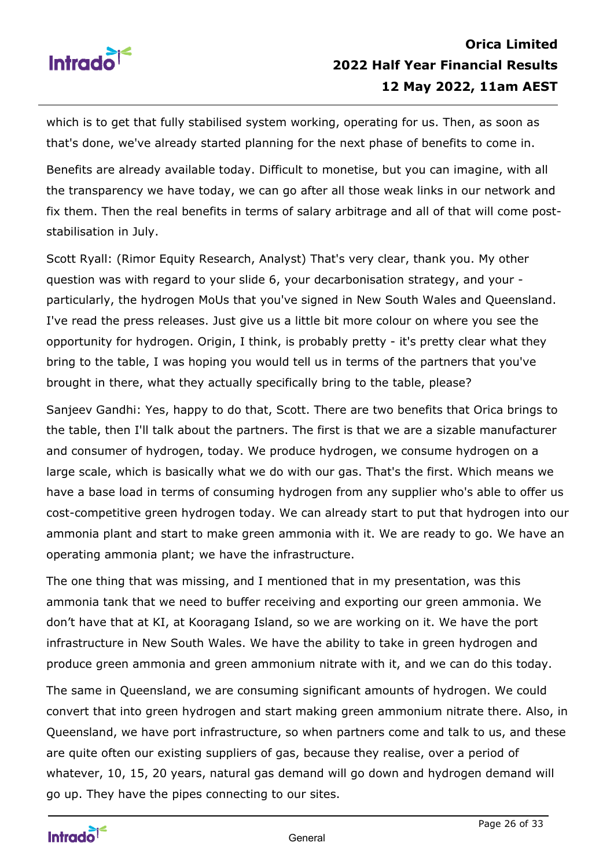

which is to get that fully stabilised system working, operating for us. Then, as soon as that's done, we've already started planning for the next phase of benefits to come in.

Benefits are already available today. Difficult to monetise, but you can imagine, with all the transparency we have today, we can go after all those weak links in our network and fix them. Then the real benefits in terms of salary arbitrage and all of that will come poststabilisation in July.

Scott Ryall: (Rimor Equity Research, Analyst) That's very clear, thank you. My other question was with regard to your slide 6, your decarbonisation strategy, and your particularly, the hydrogen MoUs that you've signed in New South Wales and Queensland. I've read the press releases. Just give us a little bit more colour on where you see the opportunity for hydrogen. Origin, I think, is probably pretty - it's pretty clear what they bring to the table, I was hoping you would tell us in terms of the partners that you've brought in there, what they actually specifically bring to the table, please?

Sanjeev Gandhi: Yes, happy to do that, Scott. There are two benefits that Orica brings to the table, then I'll talk about the partners. The first is that we are a sizable manufacturer and consumer of hydrogen, today. We produce hydrogen, we consume hydrogen on a large scale, which is basically what we do with our gas. That's the first. Which means we have a base load in terms of consuming hydrogen from any supplier who's able to offer us cost-competitive green hydrogen today. We can already start to put that hydrogen into our ammonia plant and start to make green ammonia with it. We are ready to go. We have an operating ammonia plant; we have the infrastructure.

The one thing that was missing, and I mentioned that in my presentation, was this ammonia tank that we need to buffer receiving and exporting our green ammonia. We don't have that at KI, at Kooragang Island, so we are working on it. We have the port infrastructure in New South Wales. We have the ability to take in green hydrogen and produce green ammonia and green ammonium nitrate with it, and we can do this today.

The same in Queensland, we are consuming significant amounts of hydrogen. We could convert that into green hydrogen and start making green ammonium nitrate there. Also, in Queensland, we have port infrastructure, so when partners come and talk to us, and these are quite often our existing suppliers of gas, because they realise, over a period of whatever, 10, 15, 20 years, natural gas demand will go down and hydrogen demand will go up. They have the pipes connecting to our sites.

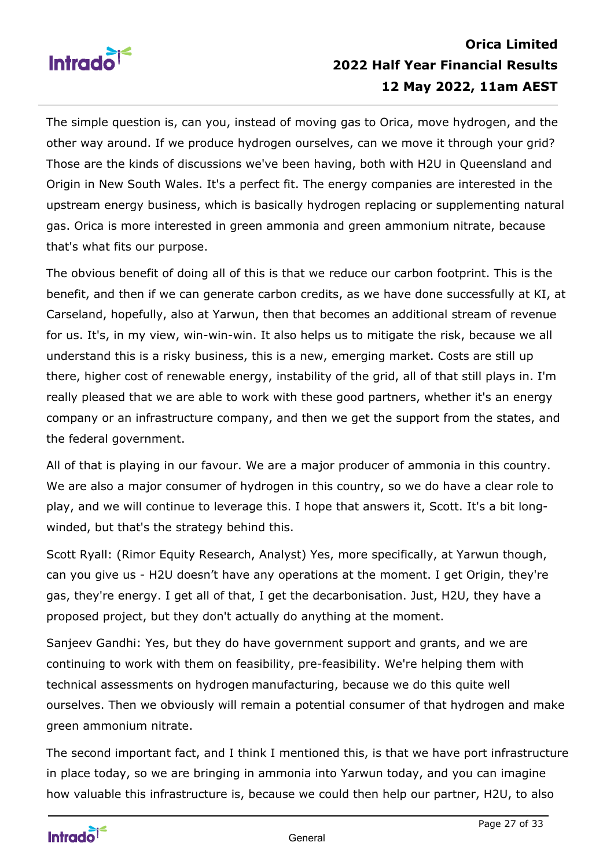

# **Orica Limited 2022 Half Year Financial Results 12 May 2022, 11am AEST**

The simple question is, can you, instead of moving gas to Orica, move hydrogen, and the other way around. If we produce hydrogen ourselves, can we move it through your grid? Those are the kinds of discussions we've been having, both with H2U in Queensland and Origin in New South Wales. It's a perfect fit. The energy companies are interested in the upstream energy business, which is basically hydrogen replacing or supplementing natural gas. Orica is more interested in green ammonia and green ammonium nitrate, because that's what fits our purpose.

The obvious benefit of doing all of this is that we reduce our carbon footprint. This is the benefit, and then if we can generate carbon credits, as we have done successfully at KI, at Carseland, hopefully, also at Yarwun, then that becomes an additional stream of revenue for us. It's, in my view, win-win-win. It also helps us to mitigate the risk, because we all understand this is a risky business, this is a new, emerging market. Costs are still up there, higher cost of renewable energy, instability of the grid, all of that still plays in. I'm really pleased that we are able to work with these good partners, whether it's an energy company or an infrastructure company, and then we get the support from the states, and the federal government.

All of that is playing in our favour. We are a major producer of ammonia in this country. We are also a major consumer of hydrogen in this country, so we do have a clear role to play, and we will continue to leverage this. I hope that answers it, Scott. It's a bit longwinded, but that's the strategy behind this.

Scott Ryall: (Rimor Equity Research, Analyst) Yes, more specifically, at Yarwun though, can you give us - H2U doesn't have any operations at the moment. I get Origin, they're gas, they're energy. I get all of that, I get the decarbonisation. Just, H2U, they have a proposed project, but they don't actually do anything at the moment.

Sanjeev Gandhi: Yes, but they do have government support and grants, and we are continuing to work with them on feasibility, pre-feasibility. We're helping them with technical assessments on hydrogen manufacturing, because we do this quite well ourselves. Then we obviously will remain a potential consumer of that hydrogen and make green ammonium nitrate.

The second important fact, and I think I mentioned this, is that we have port infrastructure in place today, so we are bringing in ammonia into Yarwun today, and you can imagine how valuable this infrastructure is, because we could then help our partner, H2U, to also

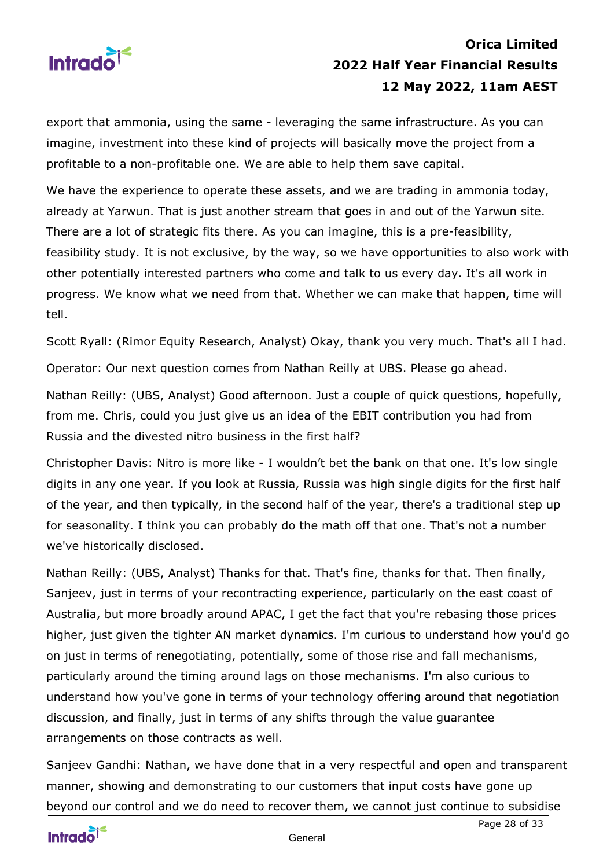

export that ammonia, using the same - leveraging the same infrastructure. As you can imagine, investment into these kind of projects will basically move the project from a profitable to a non-profitable one. We are able to help them save capital.

We have the experience to operate these assets, and we are trading in ammonia today, already at Yarwun. That is just another stream that goes in and out of the Yarwun site. There are a lot of strategic fits there. As you can imagine, this is a pre-feasibility, feasibility study. It is not exclusive, by the way, so we have opportunities to also work with other potentially interested partners who come and talk to us every day. It's all work in progress. We know what we need from that. Whether we can make that happen, time will tell.

Scott Ryall: (Rimor Equity Research, Analyst) Okay, thank you very much. That's all I had.

Operator: Our next question comes from Nathan Reilly at UBS. Please go ahead.

Nathan Reilly: (UBS, Analyst) Good afternoon. Just a couple of quick questions, hopefully, from me. Chris, could you just give us an idea of the EBIT contribution you had from Russia and the divested nitro business in the first half?

Christopher Davis: Nitro is more like - I wouldn't bet the bank on that one. It's low single digits in any one year. If you look at Russia, Russia was high single digits for the first half of the year, and then typically, in the second half of the year, there's a traditional step up for seasonality. I think you can probably do the math off that one. That's not a number we've historically disclosed.

Nathan Reilly: (UBS, Analyst) Thanks for that. That's fine, thanks for that. Then finally, Sanjeev, just in terms of your recontracting experience, particularly on the east coast of Australia, but more broadly around APAC, I get the fact that you're rebasing those prices higher, just given the tighter AN market dynamics. I'm curious to understand how you'd go on just in terms of renegotiating, potentially, some of those rise and fall mechanisms, particularly around the timing around lags on those mechanisms. I'm also curious to understand how you've gone in terms of your technology offering around that negotiation discussion, and finally, just in terms of any shifts through the value guarantee arrangements on those contracts as well.

Sanjeev Gandhi: Nathan, we have done that in a very respectful and open and transparent manner, showing and demonstrating to our customers that input costs have gone up beyond our control and we do need to recover them, we cannot just continue to subsidise

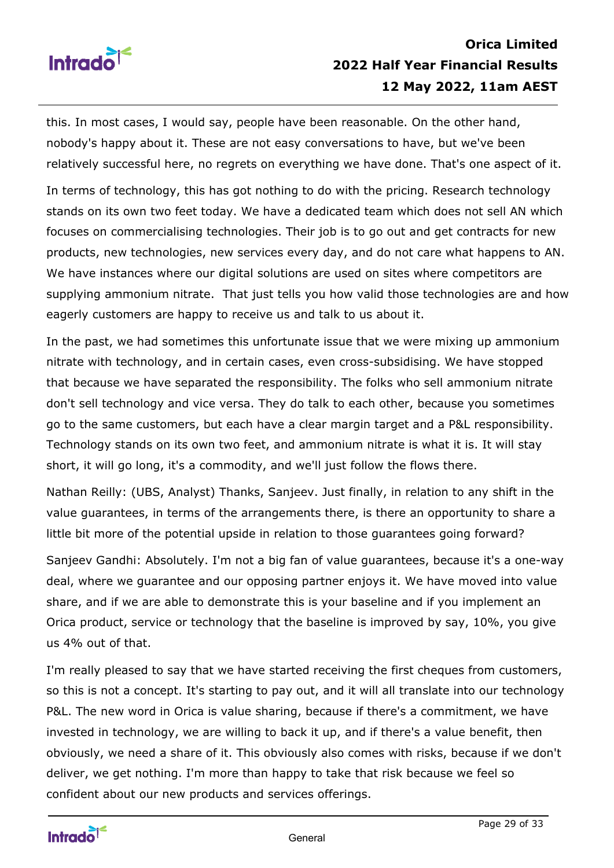

this. In most cases, I would say, people have been reasonable. On the other hand, nobody's happy about it. These are not easy conversations to have, but we've been relatively successful here, no regrets on everything we have done. That's one aspect of it.

In terms of technology, this has got nothing to do with the pricing. Research technology stands on its own two feet today. We have a dedicated team which does not sell AN which focuses on commercialising technologies. Their job is to go out and get contracts for new products, new technologies, new services every day, and do not care what happens to AN. We have instances where our digital solutions are used on sites where competitors are supplying ammonium nitrate. That just tells you how valid those technologies are and how eagerly customers are happy to receive us and talk to us about it.

In the past, we had sometimes this unfortunate issue that we were mixing up ammonium nitrate with technology, and in certain cases, even cross-subsidising. We have stopped that because we have separated the responsibility. The folks who sell ammonium nitrate don't sell technology and vice versa. They do talk to each other, because you sometimes go to the same customers, but each have a clear margin target and a P&L responsibility. Technology stands on its own two feet, and ammonium nitrate is what it is. It will stay short, it will go long, it's a commodity, and we'll just follow the flows there.

Nathan Reilly: (UBS, Analyst) Thanks, Sanjeev. Just finally, in relation to any shift in the value guarantees, in terms of the arrangements there, is there an opportunity to share a little bit more of the potential upside in relation to those guarantees going forward?

Sanjeev Gandhi: Absolutely. I'm not a big fan of value guarantees, because it's a one-way deal, where we guarantee and our opposing partner enjoys it. We have moved into value share, and if we are able to demonstrate this is your baseline and if you implement an Orica product, service or technology that the baseline is improved by say, 10%, you give us 4% out of that.

I'm really pleased to say that we have started receiving the first cheques from customers, so this is not a concept. It's starting to pay out, and it will all translate into our technology P&L. The new word in Orica is value sharing, because if there's a commitment, we have invested in technology, we are willing to back it up, and if there's a value benefit, then obviously, we need a share of it. This obviously also comes with risks, because if we don't deliver, we get nothing. I'm more than happy to take that risk because we feel so confident about our new products and services offerings.

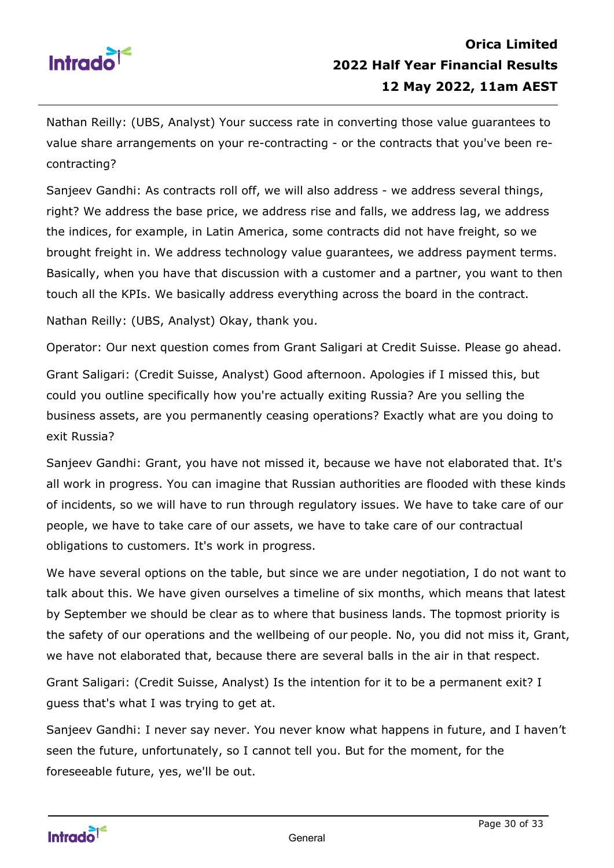

Nathan Reilly: (UBS, Analyst) Your success rate in converting those value guarantees to value share arrangements on your re-contracting - or the contracts that you've been recontracting?

Sanjeev Gandhi: As contracts roll off, we will also address - we address several things, right? We address the base price, we address rise and falls, we address lag, we address the indices, for example, in Latin America, some contracts did not have freight, so we brought freight in. We address technology value guarantees, we address payment terms. Basically, when you have that discussion with a customer and a partner, you want to then touch all the KPIs. We basically address everything across the board in the contract.

Nathan Reilly: (UBS, Analyst) Okay, thank you.

Operator: Our next question comes from Grant Saligari at Credit Suisse. Please go ahead.

Grant Saligari: (Credit Suisse, Analyst) Good afternoon. Apologies if I missed this, but could you outline specifically how you're actually exiting Russia? Are you selling the business assets, are you permanently ceasing operations? Exactly what are you doing to exit Russia?

Sanjeev Gandhi: Grant, you have not missed it, because we have not elaborated that. It's all work in progress. You can imagine that Russian authorities are flooded with these kinds of incidents, so we will have to run through regulatory issues. We have to take care of our people, we have to take care of our assets, we have to take care of our contractual obligations to customers. It's work in progress.

We have several options on the table, but since we are under negotiation, I do not want to talk about this. We have given ourselves a timeline of six months, which means that latest by September we should be clear as to where that business lands. The topmost priority is the safety of our operations and the wellbeing of our people. No, you did not miss it, Grant, we have not elaborated that, because there are several balls in the air in that respect.

Grant Saligari: (Credit Suisse, Analyst) Is the intention for it to be a permanent exit? I guess that's what I was trying to get at.

Sanjeev Gandhi: I never say never. You never know what happens in future, and I haven't seen the future, unfortunately, so I cannot tell you. But for the moment, for the foreseeable future, yes, we'll be out.

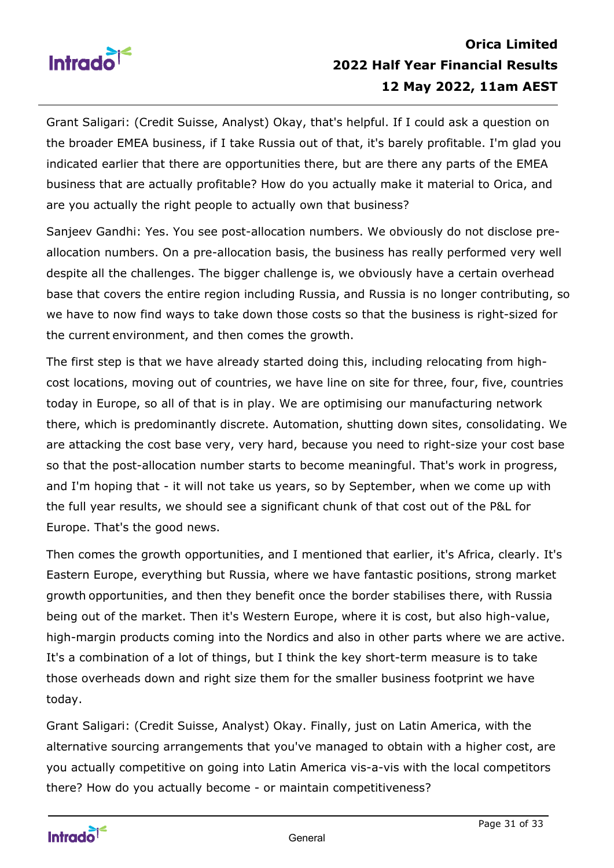

Grant Saligari: (Credit Suisse, Analyst) Okay, that's helpful. If I could ask a question on the broader EMEA business, if I take Russia out of that, it's barely profitable. I'm glad you indicated earlier that there are opportunities there, but are there any parts of the EMEA business that are actually profitable? How do you actually make it material to Orica, and are you actually the right people to actually own that business?

Sanjeev Gandhi: Yes. You see post-allocation numbers. We obviously do not disclose preallocation numbers. On a pre-allocation basis, the business has really performed very well despite all the challenges. The bigger challenge is, we obviously have a certain overhead base that covers the entire region including Russia, and Russia is no longer contributing, so we have to now find ways to take down those costs so that the business is right-sized for the current environment, and then comes the growth.

The first step is that we have already started doing this, including relocating from highcost locations, moving out of countries, we have line on site for three, four, five, countries today in Europe, so all of that is in play. We are optimising our manufacturing network there, which is predominantly discrete. Automation, shutting down sites, consolidating. We are attacking the cost base very, very hard, because you need to right-size your cost base so that the post-allocation number starts to become meaningful. That's work in progress, and I'm hoping that - it will not take us years, so by September, when we come up with the full year results, we should see a significant chunk of that cost out of the P&L for Europe. That's the good news.

Then comes the growth opportunities, and I mentioned that earlier, it's Africa, clearly. It's Eastern Europe, everything but Russia, where we have fantastic positions, strong market growth opportunities, and then they benefit once the border stabilises there, with Russia being out of the market. Then it's Western Europe, where it is cost, but also high-value, high-margin products coming into the Nordics and also in other parts where we are active. It's a combination of a lot of things, but I think the key short-term measure is to take those overheads down and right size them for the smaller business footprint we have today.

Grant Saligari: (Credit Suisse, Analyst) Okay. Finally, just on Latin America, with the alternative sourcing arrangements that you've managed to obtain with a higher cost, are you actually competitive on going into Latin America vis-a-vis with the local competitors there? How do you actually become - or maintain competitiveness?

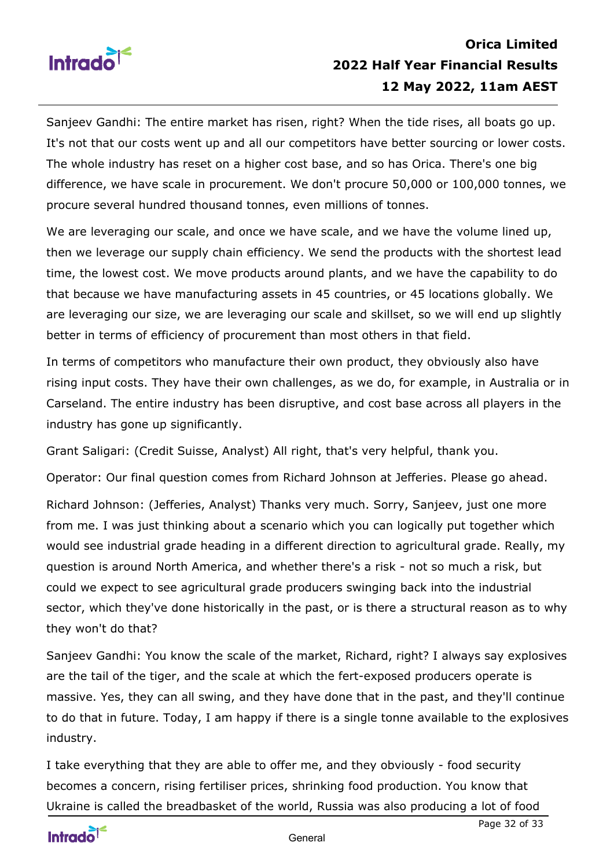

Sanjeev Gandhi: The entire market has risen, right? When the tide rises, all boats go up. It's not that our costs went up and all our competitors have better sourcing or lower costs. The whole industry has reset on a higher cost base, and so has Orica. There's one big difference, we have scale in procurement. We don't procure 50,000 or 100,000 tonnes, we procure several hundred thousand tonnes, even millions of tonnes.

We are leveraging our scale, and once we have scale, and we have the volume lined up, then we leverage our supply chain efficiency. We send the products with the shortest lead time, the lowest cost. We move products around plants, and we have the capability to do that because we have manufacturing assets in 45 countries, or 45 locations globally. We are leveraging our size, we are leveraging our scale and skillset, so we will end up slightly better in terms of efficiency of procurement than most others in that field.

In terms of competitors who manufacture their own product, they obviously also have rising input costs. They have their own challenges, as we do, for example, in Australia or in Carseland. The entire industry has been disruptive, and cost base across all players in the industry has gone up significantly.

Grant Saligari: (Credit Suisse, Analyst) All right, that's very helpful, thank you.

Operator: Our final question comes from Richard Johnson at Jefferies. Please go ahead. Richard Johnson: (Jefferies, Analyst) Thanks very much. Sorry, Sanjeev, just one more from me. I was just thinking about a scenario which you can logically put together which would see industrial grade heading in a different direction to agricultural grade. Really, my question is around North America, and whether there's a risk - not so much a risk, but could we expect to see agricultural grade producers swinging back into the industrial sector, which they've done historically in the past, or is there a structural reason as to why they won't do that?

Sanjeev Gandhi: You know the scale of the market, Richard, right? I always say explosives are the tail of the tiger, and the scale at which the fert-exposed producers operate is massive. Yes, they can all swing, and they have done that in the past, and they'll continue to do that in future. Today, I am happy if there is a single tonne available to the explosives industry.

I take everything that they are able to offer me, and they obviously - food security becomes a concern, rising fertiliser prices, shrinking food production. You know that Ukraine is called the breadbasket of the world, Russia was also producing a lot of food